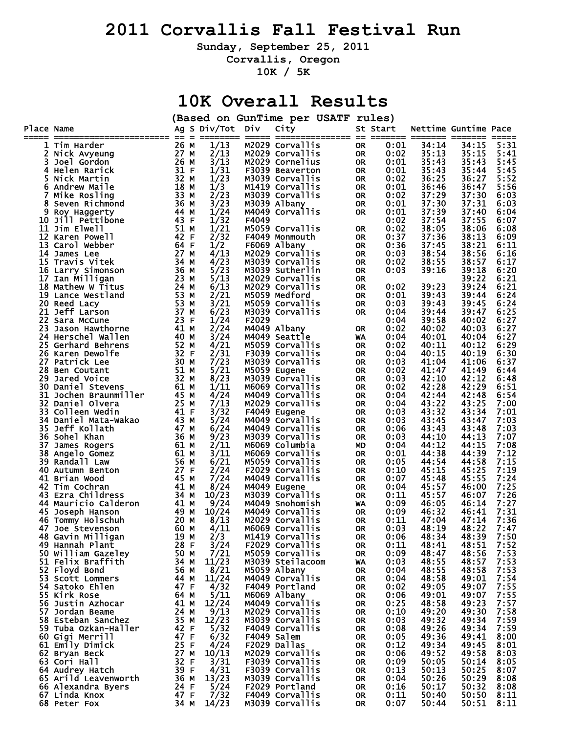## **2011 Corvallis Fall Festival Run**

**Sunday, September 25, 2011** 

**Corvallis, Oregon** 

**10K / 5K** 

## **10K Overall Results**

|            |                                    |              |   |                         |       | (Based on GunTime per USATF rules) |                   |           |              |                |                      |              |
|------------|------------------------------------|--------------|---|-------------------------|-------|------------------------------------|-------------------|-----------|--------------|----------------|----------------------|--------------|
| Place Name |                                    |              |   | Ag S Div/Tot Div        |       | City                               |                   |           | St Start     |                | Nettime Guntime Pace |              |
|            |                                    |              |   |                         |       |                                    | =========== == == |           | ===== ==     |                |                      |              |
|            | 1 Tim Harder                       | 26 M         |   | 1/13                    |       | M2029 Corvallis                    |                   | <b>OR</b> | 0:01         | 34:14          | 34:15                | 5:31         |
|            | Nick Avyeung                       | 27 M         |   | 2/13                    |       | M2029 Corvallis                    |                   | 0R        | 0:02         | 35:13          | 35:15                | 5:41         |
| 3          | Joel Gordon                        | 26 M         |   | 3/13                    |       | M2029 Cornelius                    |                   | 0R        | 0:01         | 35:43          | 35:43                | 5:45         |
| 4          | Helen Rarick                       | 31 F         |   | 1/31                    |       | F3039 Beaverton                    |                   | OR        | 0:01         | 35:43          | 35:44                | 5:45         |
| 5          | Nick Martin                        | 32 M         |   | 1/23                    |       | M3039 Corvallis                    |                   | OR        | 0:02         | 36:25          | 36:27                | 5:52         |
| 6          | Andrew Maile                       | 18 M         |   | 1/3                     |       | M1419 Corvallis                    |                   | OR        | 0:01         | 36:46          | 36:47                | 5:56         |
| 7          | Mike Rosling                       | 33 M<br>36 M |   | 2/23<br>3/23            |       | M3039 Corvallis                    |                   | OR        | 0:02         | 37:29<br>37:30 | 37:30                | 6:03         |
| 8<br>9     | Seven Richmond                     | 44 M         |   | 1/24                    |       | M3039 Albany<br>M4049 Corvallis    |                   | OR<br>0R  | 0:01<br>0:01 | 37:39          | 37:31<br>37:40       | 6:03<br>6:04 |
| 10         | Roy Haggerty<br>Jill Pettibone     | 43 F         |   | 1/32                    | F4049 |                                    |                   |           | 0:02         | 37:54          | 37:55                | 6:07         |
|            | <b>11 Jim Elwell</b>               | 51 M         |   | 1/21                    |       | M5059 Corvallis                    |                   | 0R        | 0:02         | 38:05          | 38:06                | 6:08         |
| 12         | Karen Powell                       | 42<br>- F    |   | 2/32                    |       | F4049 Monmouth                     |                   | 0R        | 0:37         | 37:36          | 38:13                | 6:09         |
| 13         | Carol webber                       | 64<br>- F    |   | 1/2                     |       | F6069 Albany                       |                   | 0R        | 0:36         | 37:45          | 38:21                | 6:11         |
| 14         | James Lee                          | 27 M         |   | 4/13                    |       | M2029 Corvallis                    |                   | 0R        | 0:03         | 38:54          | 38:56                | 6:16         |
|            | 15 Travis Vitek                    | 34 M         |   | 4/23                    |       | M3039 Corvallis                    |                   | 0R        | 0:02         | 38:55          | 38:57                | 6:17         |
| 16         | Larry Simonson                     | 36 M         |   | 5/23                    |       | M3039 Sutherlin                    |                   | OR        | 0:03         | 39:16          | 39:18                | 6:20         |
| 17         | Ian Milligan                       | 23 M         |   | 5/13                    |       | M2029 Corvallis                    |                   | 0R        |              |                | 39:22                | 6:21         |
| 18         | Mathew W Titus                     | 24 M         |   | 6/13                    |       | M2029 Corvallis                    |                   | 0R        | 0:02         | 39:23          | 39:24                | 6:21         |
|            | 19 Lance Westland                  | 53 M         |   | 2/21                    |       | M5059 Medford                      |                   | OR        | 0:01         | 39:43          | 39:44                | 6:24         |
| 20         | Reed Lacy                          | 53           | M | 3/21                    |       | M5059 Corvallis                    |                   | OR        | 0:03         | 39:43          | 39:45                | 6:24         |
| 21         | Jeff Larson                        | 37 M         |   | 6/23                    |       | M3039 Corvallis                    |                   | 0R        | 0:04         | 39:44          | 39:47                | 6:25         |
| 22         | Sara McCune                        | 23 F         |   | 1/24                    | F2029 |                                    |                   |           | 0:04         | 39:58          | 40:02                | 6:27         |
| 23         | Jason Hawthorne                    | 41 M         |   | 2/24                    |       | M4049 Albany                       |                   | 0R        | 0:02         | 40:02          | 40:03                | 6:27         |
| 24         | Herschel Wallen                    | 40 M         |   | 3/24                    |       | M4049 Seattle                      |                   | WA        | 0:04         | 40:01          | 40:04                | 6:27         |
| 25.        | Gerhard Behrens                    | 52 M         |   | 4/21                    |       | M5059 Corvallis                    |                   | 0R        | 0:02         | 40:11          | 40:12                | 6:29         |
| 26         | Karen Dewolfe                      | 32 F         |   | 2/31                    |       | F3039 Corvallis                    |                   | OR        | 0:04         | 40:15          | 40:19                | 6:30         |
| 27         | Patrick Lee                        | 30 M         |   | 7/23                    |       | M3039 Corvallis                    |                   | OR        | 0:03         | 41:04          | 41:06                | 6:37         |
| 28         | <b>Ben Coutant</b>                 | 51 M         |   | 5/21                    |       | M5059 Eugene                       |                   | 0R        | 0:02         | 41:47          | 41:49                | 6:44         |
| 29         | Jared Voice                        | 32 M         |   | 8/23                    |       | M3039 Corvallis                    |                   | 0R        | 0:03         | 42:10          | 42:12                | 6:48         |
| 30         | Daniel Stevens                     | 61 M         |   | 1/11                    |       | M6069 Corvallis                    |                   | 0R        | 0:02         | 42:28          | 42:29                | 6:51         |
| 31         | Jochen Braunmiller                 | 45 M         |   | 4/24                    |       | M4049 Corvallis                    |                   | 0R        | 0:04         | 42:44          | 42:48                | 6:54         |
| 32         | Daniel Olvera                      | 25 M         |   | 7/13                    |       | M2029 Corvallis                    |                   | 0R        | 0:04         | 43:22          | 43:25                | 7:00         |
| 33         | Colleen wedin                      | 41 F         |   | 3/32                    |       | F4049 Eugene                       |                   | 0R        | 0:03         | 43:32          | 43:34                | 7:01         |
| 34         | Daniel Mata-Wakao                  | 43 M         |   | 5/24                    |       | M4049 Corvallis                    |                   | 0R        | 0:03         | 43:45          | 43:47                | 7:03         |
| 35         | Jeff Kollath                       | 47 M         |   | 6/24                    |       | M4049 Corvallis                    |                   | 0R        | 0:06         | 43:43          | 43:48                | 7:03         |
| 36         | Sohel Khan                         | 36<br>M      |   | 9/23                    |       | M3039 Corvallis                    |                   | 0R        | 0:03         | 44:10          | 44:13                | 7:07         |
| 37         | James Rogers                       | 61 M         |   | 2/11                    |       | M6069 Columbia                     |                   | МD        | 0:04         | 44:12          | 44:15                | 7:08         |
| 38         | Angelo Gomez                       | 61 M         |   | 3/11                    |       | M6069 Corvallis                    |                   | 0R        | 0:01         | 44:38          | 44:39                | 7:12         |
| 39         | Randall Law                        | 56 M         |   | 6/21                    |       | M5059 Corvallis                    |                   | 0R        | 0:05         | 44:54          | 44:58                | 7:15         |
| 40         | <b>Autumn Benton</b>               | 27 F         |   | 2/24                    |       | F2029 Corvallis                    |                   | 0R        | 0:10         | 45:15          | 45:25                | 7:19         |
| 41         | Brian Wood                         | 45 M         |   | 7/24                    |       | M4049 Corvallis                    |                   | 0R        | 0:07         | 45:48          | 45:55                | 7:24         |
| 42.        | Tim Cochran                        | 41 M         |   | 8/24                    |       | M4049 Eugene                       |                   | OR        | 0:04         | 45:57          | 46:00                | 7:25         |
| 43<br>44   | Ezra Childress                     | 34 M<br>41 M |   | 10/23<br>9/24           |       | M3039 Corvallis<br>M4049 Snohomish |                   | 0R        | 0:11<br>0:09 | 45:57<br>46:05 | 46:07<br>46:14       | 7:26<br>7:27 |
| 45         | Mauricio Calderon<br>Joseph Hanson | 49 M         |   | 10/24                   |       | M4049 Corvallis                    |                   | WA<br>0R  | 0:09         | 46:32          | 46:41                | 7:31         |
| 46         | Tommy Holschuh                     | 20 M         |   | 8/13                    |       | M2029 Corvallis                    |                   | ΟR        | 0:11         | 47:04          | 47:14                | 7:36         |
|            | 47 Joe Stevenson                   | 60 M         |   | 4/11                    |       | M6069 Corvallis                    |                   | <b>OR</b> | 0:03         | 48:19          | 48:22                | 7:47         |
|            | 48 Gavin Milligan                  | 19 M         |   | 2/3                     |       | M1419 Corvallis                    |                   | OR.       | 0:06         | 48:34          | 48:39                | 7:50         |
|            | 49 Hannah Plant                    | 28 F         |   | 3/24                    |       | F2029 Corvallis                    |                   | OR.       | 0:11         | 48:41          | 48:51                | 7:52         |
|            | 50 William Gazeley                 | 50 M         |   | 7/21                    |       | M5059 Corvallis                    |                   | 0R        | 0:09         | 48:47          | 48:56                | 7:53         |
|            | 51 Felix Braffith                  | 34 M         |   | 11/23                   |       | M3039 Steilacoom                   |                   | WA        | 0:03         | 48:55          | 48:57                | 7:53         |
|            | 52 Floyd Bond                      | 56 M         |   | 8/21                    |       | M5059 Albany                       |                   | OR        | 0:04         | 48:55          | 48:58                | 7:53         |
|            | 53 Scott Lommers                   | 44 M         |   | 11/24                   |       | M4049 Corvallis                    |                   | 0R        | 0:04         | 48:58          | 49:01                | 7:54         |
|            | 54 Satoko Ehlen                    | 47 F         |   | 4/32                    |       | F4049 Portland                     |                   | OR        | 0:02         | 49:05          | 49:07                | 7:55         |
|            | 55 Kirk Rose                       | 64 M         |   | 5/11                    |       | M6069 Albany                       |                   | OR.       | 0:06         | 49:01          | 49:07                | 7:55         |
|            | 56 Justin Azhocar                  | 41 M         |   | 12/24                   |       | M4049 Corvallis                    |                   | OR        | 0:25         | 48:58          | 49:23                | 7:57         |
|            | 57 Jordan Beame                    | 24 M         |   |                         |       | M2029 Corvallis                    |                   | OR.       | 0:10         | 49:20          | 49:30                | 7:58         |
|            | 58 Esteban Sanchez                 | 35 M         |   | $\frac{9}{12}$<br>12/23 |       | M3039 Corvallis                    |                   | 0R        | 0:03         | 49:32          | 49:34                | 7:59         |
|            | 59 Tuba Ozkan-Haller               | 42 F         |   | 5/32                    |       | F4049 Corvallis                    |                   | OR.       | 0:08         | 49:26          | 49:34                | 7:59         |
|            | 60 Gigi Merrill                    | 47 F         |   | 6/32                    |       | F4049 Salem                        |                   | OR        | 0:05         | 49:36          | 49:41                | 8:00         |
|            | 61 Emily Dimick                    | 25 F         |   | 4/24                    |       | F2029 Dallas                       |                   | OR.       | 0:12         | 49:34          | 49:45                | 8:01         |
|            | 62 Bryan Beck                      | 27 M         |   | 10/13                   |       | M2029 Corvallis                    |                   | 0R        | 0:06         | 49:52          | 49:58                | 8:03         |
|            | 63 Cori Hall                       | 32 F         |   | 3/31                    |       | F3039 Corvallis                    |                   | OR        | 0:09         | 50:05          | 50:14                | 8:05         |
|            | 64 Audrey Hatch                    | 39 F         |   | 4/31                    |       | F3039 Corvallis                    |                   | OR        | 0:13         | 50:13          | 50:25                | 8:07         |
|            | 65 Arild Leavenworth               | 36 M         |   | 13/23                   |       | M3039 Corvallis                    |                   | OR.       | 0:04         | 50:26          | 50:29                | 8:08         |
|            | 66 Alexandra Byers                 | 24 F         |   | 5/24                    |       | F2029 Portland                     |                   | 0R        | 0:16         | 50:17          | 50:32                | 8:08         |
|            | 67 Linda Knox                      | 47 F         |   | 7/32                    |       | F4049 Corvallis                    |                   | OR        | 0:11         | 50:40          | 50:50                | 8:11         |
|            | 68 Peter Fox                       |              |   | 34 M $14/23$            |       | M3039 Corvallis                    |                   | 0R.       | 0:07         | 50:44          | 50:51                | 8:11         |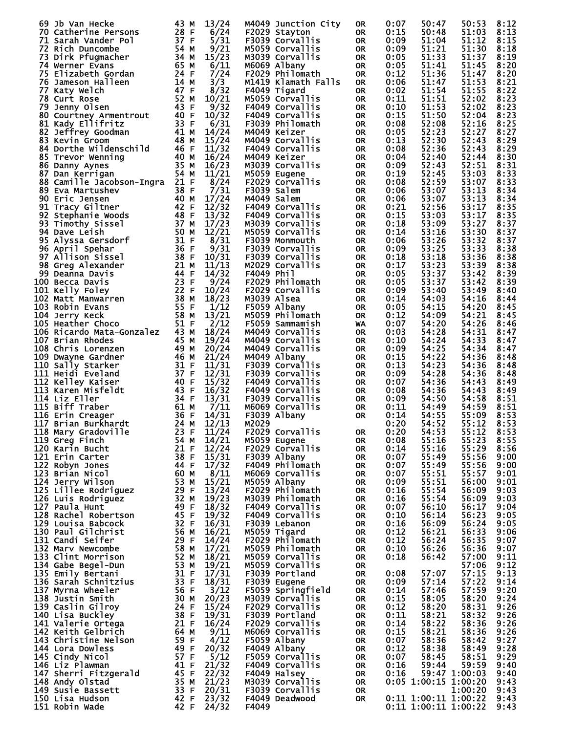| 69 Jb Van Hecke                | 43 M                              | 13/24      | M4049 Junction City | <b>OR</b> | 0:07 | 50:47                | 50:53         | 8:12 |
|--------------------------------|-----------------------------------|------------|---------------------|-----------|------|----------------------|---------------|------|
| 70 Catherine Persons           | 28 F                              | 6/24       | F2029 Stayton       | 0R.       | 0:15 | 50:48                | 51:03         | 8:13 |
| 71 Sarah Vander Pol            | 37 F                              | 5/31       | F3039 Corvallis     | <b>OR</b> | 0:09 | 51:04                | 51:12         | 8:15 |
| 72 Rich Duncombe               | 54 M                              | 9/21       | M5059 Corvallis     | <b>OR</b> | 0:09 | 51:21                | 51:30         | 8:18 |
| 73 Dirk Pfugmacher             | 34 M                              | 15/23      | M3039 Corvallis     | <b>OR</b> | 0:05 | 51:33                | 51:37         | 8:19 |
|                                | 65 M                              |            |                     |           | 0:05 | 51:41                | 51:45         | 8:20 |
| 74 Werner Evans                |                                   | 6/11       | M6069 Albany        | <b>OR</b> |      |                      |               |      |
| 75 Elizabeth Gordan            | 24 F                              | 7/24       | F2029 Philomath     | <b>OR</b> | 0:12 | 51:36                | 51:47         | 8:20 |
| 76 Jameson Halleen             | 14 M                              | 3/3        | M1419 Klamath Falls | 0R.       | 0:06 | 51:47                | 51:53         | 8:21 |
| 77 Katy Welch                  | 47 F                              | 8/32       | F4049 Tigard        | 0R.       | 0:02 | 51:54                | 51:55         | 8:22 |
| 78 Curt Rose                   | 52 M                              | 10/21      | M5059 Corvallis     | 0R.       | 0:11 | 51:51                | 52:02         | 8:23 |
|                                | 43 F                              |            |                     |           |      |                      | 52:02         |      |
| 79 Jenny Olsen                 |                                   | 9/32       | F4049 Corvallis     | 0R.       | 0:10 | 51:53                |               | 8:23 |
| 80 Courtney Armentrout         | 40 F                              | 10/32      | F4049 Corvallis     | 0R.       | 0:15 | 51:50                | 52:04         | 8:23 |
| 81 Kady Ellifritz              | 33 F                              | 6/31       | F3039 Philomath     | 0R.       | 0:08 | 52:08                | 52:16         | 8:25 |
| 82 Jeffrey Goodman             | 41 M                              | 14/24      | M4049 Keizer        | 0R.       | 0:05 | 52:23                | 52:27         | 8:27 |
| 83 Kevin Groom                 | 48 M                              | 15/24      | M4049 Corvallis     | 0R.       | 0:13 | 52:30                | 52:43         | 8:29 |
|                                |                                   |            |                     |           |      |                      |               |      |
| 84 Dorthe Wildenschild         | 46 F                              | 11/32      | F4049 Corvallis     | 0R.       | 0:08 | 52:36                | 52:43         | 8:29 |
| 85 Trevor Wenning              | 40 M                              | 16/24      | M4049 Keizer        | 0R.       | 0:04 | 52:40                | 52:44         | 8:30 |
| 86 Danny Aynes                 | 35 M                              | 16/23      | M3039 Corvallis     | 0R.       | 0:09 | 52:43                | 52:51         | 8:31 |
| 87 Dan Kerrigan                | 54 M                              | 11/21      | M5059 Eugene        | 0R.       | 0:19 | 52:45                | 53:03         | 8:33 |
| 88 Camille Jacobson-Ingra 21 F |                                   |            | F2029 Corvallis     |           | 0:08 | 52:59                |               | 8:33 |
|                                |                                   | 8/24       |                     | 0R.       |      |                      | 53:07         |      |
| 89 Eva Martushev               | 38 F<br>$\frac{40}{42}$ M<br>42 F | 7/31       | F3039 Salem         | 0R.       | 0:06 | 53:07                | 53:13         | 8:34 |
| 90 Eric Jensen                 |                                   | 17/24      | M4049 Salem         | <b>OR</b> | 0:06 | 53:07                | 53:13         | 8:34 |
| 91 Tracy Giltner               |                                   | 12/32      | F4049 Corvallis     | 0R.       | 0:21 | 52:56                | 53:17         | 8:35 |
| 92.<br>Stephanie Woods         | 48 F                              | 13/32      | F4049 Corvallis     | <b>OR</b> | 0:15 | 53:03                | 53:17         | 8:35 |
|                                |                                   |            |                     |           |      |                      |               |      |
| 93 Timothy Sissel              | 37 M                              | 17/23      | M3039 Corvallis     | 0R.       | 0:18 | 53:09                | 53:27         | 8:37 |
| 94 Dave Leish                  | 50 M                              | 12/21      | M5059 Corvallis     | 0R.       | 0:14 | 53:16                | 53:30         | 8:37 |
| 95 Alyssa Gersdorf             | 31 F                              | 8/31       | F3039 Monmouth      | 0R.       | 0:06 | 53:26                | 53:32         | 8:37 |
| 96 April Spehar                | 36 F                              | 9/31       | F3039 Corvallis     | 0R.       | 0:09 | 53:25                | 53:33         | 8:38 |
|                                | 38 F                              |            |                     |           | 0:18 | 53:18                | 53:36         |      |
| 97 Allison Sissel              |                                   | 10/31      | F3039 Corvallis     | 0R.       |      |                      |               | 8:38 |
| 98 Greg Alexander              | 21 M                              | 11/13      | M2029 Corvallis     | 0R.       | 0:17 | 53:23                | 53:39         | 8:38 |
| 99 Deanna Davis                | 44 F                              | 14/32      | F4049 Phil          | 0R.       | 0:05 | 53:37                | 53:42         | 8:39 |
| 100 Becca Davis                | 23 F                              | 9/24       | F2029 Philomath     | <b>OR</b> | 0:05 | 53:37                | 53:42         | 8:39 |
| 101 Kelly Foley                | 22 F                              | 10/24      | F2029 Corvallis     | 0R.       | 0:09 | 53:40                | 53:49         | 8:40 |
|                                |                                   |            |                     |           |      |                      |               |      |
| 102 Matt Manwarren             | 38 M                              | 18/23      | M3039 Alsea         | 0R.       | 0:14 | 54:03                | 54:16         | 8:44 |
| 103 Robin Evans                | 55 F                              | 1/12       | F5059 Albany        | 0R.       | 0:05 | 54:15                | 54:20         | 8:45 |
| 104 Jerry Keck                 | 58 M                              | 13/21      | M5059 Philomath     | <b>OR</b> | 0:12 | 54:09                | 54:21         | 8:45 |
| 105 Heather Choco              | 51 F                              | 2/12       | F5059 Sammamish     | WA        | 0:07 | 54:20                | 54:26         | 8:46 |
| 106 Ricardo Mata-Gonzalez 43 M |                                   | 18/24      | M4049 Corvallis     | 0R.       | 0:03 | 54:28                | 54:31         | 8:47 |
|                                |                                   |            |                     |           |      |                      |               |      |
| 107 Brian Rhodes               | 45 M                              | 19/24      | M4049 Corvallis     | 0R.       | 0:10 | 54:24                | 54:33         | 8:47 |
| 108 Chris Lorenzen             | 49 M                              | 20/24      | M4049 Corvallis     | 0R.       | 0:09 | 54:25                | 54:34         | 8:47 |
| 109 Dwayne Gardner             | 46 M                              | 21/24      | M4049 Albany        | 0R.       | 0:15 | 54:22                | 54:36         | 8:48 |
| 110 Sally Starker              | 31 F                              | 11/31      | F3039 Corvallis     | 0R.       | 0:13 | 54:23                | 54:36         | 8:48 |
|                                |                                   |            |                     |           |      |                      |               |      |
| 111 Heidi Eveland              | 37 F                              | 12/31      | F3039 Corvallis     | 0R.       | 0:09 | 54:28                | 54:36         | 8:48 |
| 112 Kelley Kaiser              | 40 F                              | 15/32      | F4049 Corvallis     | 0R.       | 0:07 | 54:36                | 54:43         | 8:49 |
| 113 Karen Misfeldt             | 43 F                              | 16/32      | F4049 Corvallis     | 0R.       | 0:08 | 54:36                | 54:43         | 8:49 |
| 114 Liz Eller                  | 34 F                              | 13/31      | F3039 Corvallis     | OR        | 0:09 | 54:50                | 54:58         | 8:51 |
| 115 Biff Traber                | 61 M                              | 7/11       | M6069 Corvallis     | OR        | 0:11 | 54:49                | 54:59         | 8:51 |
|                                |                                   |            |                     |           |      |                      |               |      |
| 116 Erin Creager               | 36 F                              | 14/31      | F3039 Albany        | <b>OR</b> | 0:14 | 54:55                | 55:09         | 8:53 |
| 117 Brian Burkhardt            | 24 M                              | 12/13      | M2029               |           | 0:20 | 54:52                | 55:12         | 8:53 |
| 118 Mary Gradoville            |                                   | 23 F 11/24 | F2029 Corvallis     | <b>OR</b> | 0:20 | 54:53                | 55:12         | 8:53 |
| 119 Greg Finch                 | 54 M                              | 14/21      | M5059 Eugene        | 0R        | 0:08 | 55:16                | 55:23         | 8:55 |
| 120 Karin Bucht                | 21 F                              | 12/24      | F2029 Corvallis     | OR.       | 0:14 | 55:16                | 55:29         | 8:56 |
|                                |                                   |            |                     |           |      |                      |               |      |
| 121 Erin Carter                | 38 F                              | 15/31      | F3039 Albany        | OR        | 0:07 | 55:49                | 55:56         | 9:00 |
| 122 Robyn Jones                | 44 F                              | 17/32      | F4049 Philomath     | 0R.       | 0:07 | 55:49                | 55:56         | 9:00 |
| 123 Brian Nicol                | 60 M                              | 8/11       | M6069 Corvallis     | 0R        | 0:07 | 55:51                | 55:57         | 9:01 |
| 124 Jerry Wilson               | 53 M                              | 15/21      | M5059 Albany        | 0R.       | 0:09 | 55:51                | 56:00         | 9:01 |
| 125 Lillee Rodriguez           | 29 F                              | 13/24      |                     |           | 0:16 | 55:54                | 56:09         | 9:03 |
|                                |                                   |            | F2029 Philomath     | 0R        |      |                      |               |      |
| 126 Luis Rodriguez             | 32 M                              | 19/23      | M3039 Philomath     | 0R        | 0:16 | 55:54                | 56:09         | 9:03 |
| 127 Paula Hunt                 | 49 F                              | 18/32      | F4049 Corvallis     | 0R        | 0:07 | 56:10                | 56:17         | 9:04 |
| 128 Rachel Robertson           | 45 F                              | 19/32      | F4049 Corvallis     | 0R.       | 0:10 | 56:14                | 56:23         | 9:05 |
| 129 Louisa Babcock             | 32 F                              | 16/31      | F3039 Lebanon       | 0R        | 0:16 | 56:09                | 56:24         | 9:05 |
| 130 Paul Gilchrist             | 56 M                              | 16/21      | M5059 Tigard        | 0R.       | 0:12 | 56:21                | 56:33         | 9:06 |
|                                |                                   |            |                     |           |      |                      |               |      |
| 131 Candi Seifer               | 29 F                              | 14/24      | F2029 Philomath     | 0R        | 0:12 | 56:24                | 56:35         | 9:07 |
| 132 Marv Newcombe              | 58 M                              | 17/21      | M5059 Philomath     | 0R.       | 0:10 | 56:26                | 56:36         | 9:07 |
| 133 Clint Morrison             | 52 M                              | 18/21      | M5059 Corvallis     | 0R        | 0:18 | 56:42                | 57:00         | 9:11 |
| 134 Gabe Begel-Dun             | 53 M                              | 19/21      | M5059 Corvallis     | 0R.       |      |                      | 57:06         | 9:12 |
|                                | 31 F                              |            |                     |           |      | 57:07                |               |      |
| 135 Emily Bertani              |                                   | 17/31      | F3039 Portland      | 0R        | 0:08 |                      | 57:15         | 9:13 |
| 136 Sarah Schnitzius           | 33 F                              | 18/31      | F3039 Eugene        | 0R.       | 0:09 | 57:14                | 57:22         | 9:14 |
| 137 Myrna Wheeler              | 56 F                              | 3/12       | F5059 Springfield   | 0R        | 0:14 | 57:46                | 57:59         | 9:20 |
| 138 Justin Smith               | 30 M                              | 20/23      | M3039 Corvallis     | 0R        | 0:15 | 58:05                | 58:20         | 9:24 |
| 139 Caslin Gilroy              | 24 F                              | 15/24      | F2029 Corvallis     | 0R        | 0:12 | 58:20                | 58:31         | 9:26 |
|                                |                                   |            |                     |           |      |                      |               |      |
| 140 Lisa Buckley               | 38 F                              | 19/31      | F3039 Portland      | 0R        | 0:11 | 58:21                | 58:32         | 9:26 |
| 141 Valerie Ortega             | 21 F                              | 16/24      | F2029 Corvallis     | 0R        | 0:14 | 58:22                | 58:36         | 9:26 |
| 142 Keith Gelbrich             | 64 M                              | 9/11       | M6069 Corvallis     | 0R        | 0:15 | 58:21                | 58:36         | 9:26 |
| 143 Christine Nelson           | 59 F                              | 4/12       | F5059 Albany        | 0R        | 0:07 | 58:36                | 58:42         | 9:27 |
|                                |                                   |            | F4049 Albany        |           |      |                      |               | 9:28 |
| 144 Lora Dowless               | 49 F                              | 20/32      |                     | 0R.       | 0:12 | 58:38                | 58:49         |      |
| 145 Cindy Nicol                | 57 F                              | 5/12       | F5059 Corvallis     | 0R        | 0:07 | 58:45                | 58:51         | 9:29 |
| 146 Liz Plawman                | 41 F                              | 21/32      | F4049 Corvallis     | 0R        | 0:16 | 59:44                | 59:59         | 9:40 |
| 147 Sherri Fitzgerald          | 45 F                              | 22/32      | F4049 Halsey        | OR        | 0:16 |                      | 59:47 1:00:03 | 9:40 |
| 148 Andy Olstad                | 35 M                              | 21/23      | M3039 Corvallis     | OR        |      | 0:05 1:00:15 1:00:20 |               | 9:43 |
|                                |                                   |            |                     |           |      |                      |               |      |
| 149 Susie Bassett              | 33 F                              | 20/31      | F3039 Corvallis     | 0R.       |      |                      | 1:00:20       | 9:43 |
| 150 Lisa Hudson                | 42 F                              | 23/32      | F4049 Deadwood      | 0R.       |      | 0:11 1:00:11 1:00:22 |               | 9:43 |
| 151 Robin Wade                 | 42 F                              | 24/32      | F4049               |           |      | 0:11 1:00:11 1:00:22 |               | 9:43 |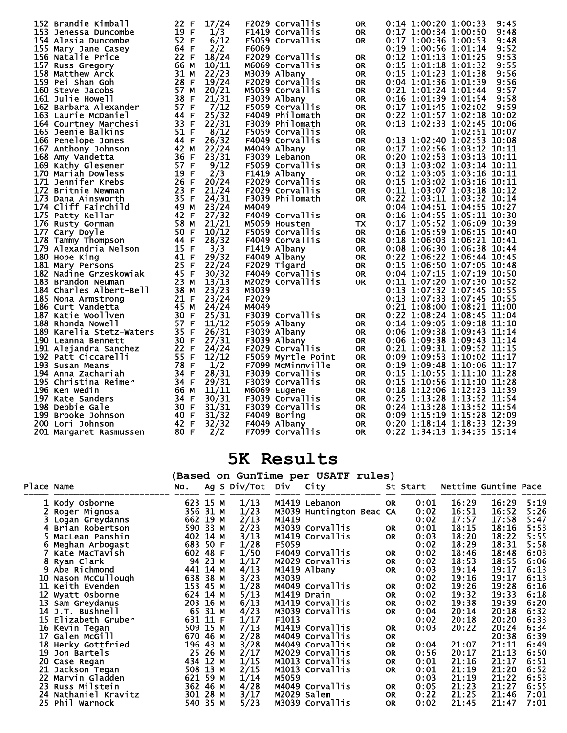| 152 Brandie Kimball      | 17/24<br>22 F    | F2029 Corvallis    | <b>OR</b> | 0:14 1:00:20 1:00:33<br>9:45   |
|--------------------------|------------------|--------------------|-----------|--------------------------------|
| 153 Jenessa Duncombe     | 19 F<br>1/3      | F1419 Corvallis    | <b>OR</b> | 0:17 1:00:34 1:00:50<br>9:48   |
| 154 Alesia Duncombe      | 52 F<br>6/12     | F5059 Corvallis    | <b>OR</b> | 0:17 1:00:36 1:00:53<br>9:48   |
| 155 Mary Jane Casey      | 64 F<br>2/2      | F6069              |           | 0:19 1:00:56 1:01:14<br>9:52   |
|                          | 22 F<br>18/24    | F2029 Corvallis    |           | 0:12 1:01:13 1:01:25<br>9:53   |
| 156 Natalie Price        |                  |                    | <b>OR</b> |                                |
| 157 Russ Gregory         | 66<br>M<br>10/11 | M6069 Corvallis    | <b>OR</b> | 0:15 1:01:18 1:01:32<br>9:55   |
| 158 Matthew Arck         | 31<br>22/23<br>М | M3039 Albany       | <b>OR</b> | 0:15 1:01:23 1:01:38<br>9:56   |
| 159 Pei Shan Goh         | 28 F<br>19/24    | F2029 Corvallis    | <b>OR</b> | 0:04 1:01:36 1:01:39<br>9:56   |
| 160 Steve Jacobs         | 57<br>20/21<br>M | M5059 Corvallis    | <b>OR</b> | $0:21$ 1:01:24 1:01:44<br>9:57 |
|                          | 38 F             |                    |           | 0:16 1:01:39 1:01:54           |
| <b>161 Julie Howell</b>  | 21/31            | F3039 Albany       | <b>OR</b> | 9:58                           |
| 162 Barbara Alexander    | 57 F<br>7/12     | F5059 Corvallis    | <b>OR</b> | $0:17$ 1:01:45 1:02:02<br>9:59 |
| 163 Laurie McDaniel      | 25/32<br>44 F    | F4049 Philomath    | <b>OR</b> | 0:22 1:01:57 1:02:18 10:02     |
| 164 Courtney Marchesi    | 33 F<br>22/31    | F3039 Philomath    | <b>OR</b> | 0:13 1:02:33 1:02:45 10:06     |
| 165 Jeenie Balkins       | 51 F<br>8/12     | F5059 Corvallis    | <b>OR</b> | 1:02:51 10:07                  |
|                          |                  |                    |           |                                |
| 166 Penelope Jones       | 26/32<br>44 F    | F4049 Corvallis    | <b>OR</b> | 0:13 1:02:40 1:02:53 10:08     |
| 167 Anthony Johnson      | 42 M<br>22/24    | M4049 Albany       | <b>OR</b> | 0:17 1:02:56 1:03:12 10:11     |
| 168 Amy Vandetta         | 36 F<br>23/31    | F3039 Lebanon      | <b>OR</b> | 0:20 1:02:53 1:03:13 10:11     |
| 169 Kathy Glesener       | 57 F<br>9/12     | F5059 Corvallis    | <b>OR</b> | 0:13 1:03:02 1:03:14 10:11     |
| 170 Mariah Dowless       | 19<br>2/3<br>F   | F1419 Albany       | <b>OR</b> | 0:12 1:03:05 1:03:16 10:11     |
|                          |                  |                    |           |                                |
| 171 Jennifer Krebs       | 26 F<br>20/24    | F2029 Corvallis    | <b>OR</b> | 0:15 1:03:02 1:03:16 10:11     |
| 172 Britnie Newman       | 23<br>21/24<br>F | F2029 Corvallis    | <b>OR</b> | 0:11 1:03:07 1:03:18 10:12     |
| 173 Dana Ainsworth       | 35 F<br>24/31    | F3039 Philomath    | <b>OR</b> | 0:22 1:03:11 1:03:32 10:14     |
| 174 Cliff Fairchild      | 49<br>M<br>23/24 | M4049              |           | 0:04 1:04:51 1:04:55 10:27     |
| 175 Patty Kellar         | 42 F<br>27/32    | F4049 Corvallis    | <b>OR</b> | 0:16 1:04:55 1:05:11 10:30     |
|                          |                  |                    |           |                                |
| 176 Rusty Gorman         | 58 M<br>21/21    | M5059 Housten      | <b>TX</b> | 0:17 1:05:52 1:06:09 10:39     |
| 177 Cary Doyle           | 50 F<br>10/12    | F5059 Corvallis    | <b>OR</b> | 0:16 1:05:59 1:06:15 10:40     |
| 178 Tammy Thompson       | 44 F<br>28/32    | F4049 Corvallis    | <b>OR</b> | 0:18 1:06:03 1:06:21 10:41     |
| 179 Alexandria Nelson    | 15 F<br>3/3      | F1419 Albany       | <b>OR</b> | 0:08 1:06:30 1:06:38 10:44     |
| 180 Hope King            | 41 F<br>29/32    | F4049 Albany       | 0R        | 0:22 1:06:22 1:06:44 10:45     |
|                          |                  |                    |           |                                |
| 181 Mary Persons         | 25 F<br>22/24    | F2029 Tigard       | <b>OR</b> | 0:15 1:06:50 1:07:05 10:48     |
| 182 Nadine Grzeskowiak   | 45 F<br>30/32    | F4049 Corvallis    | <b>OR</b> | 0:04 1:07:15 1:07:19 10:50     |
| 183 Brandon Neuman       | 23 M<br>13/13    | M2029 Corvallis    | <b>OR</b> | 0:11 1:07:20 1:07:30 10:52     |
| 184 Charles Albert-Bell  | 38 M<br>23/23    | M3039              |           | 0:13 1:07:32 1:07:45 10:55     |
| 185 Nona Armstrong       | 21 F<br>23/24    | F2029              |           | 0:13 1:07:33 1:07:45 10:55     |
| 186 Curt Vandetta        | 45 M<br>24/24    | M4049              |           | 0:21 1:08:00 1:08:21 11:00     |
|                          |                  |                    |           |                                |
| 187 Katie Woollven       | 30 F<br>25/31    | F3039 Corvallis    | <b>OR</b> | 0:22 1:08:24 1:08:45 11:04     |
| 188 Rhonda Nowell        | 57 F<br>11/12    | F5059 Albany       | <b>OR</b> | 0:14 1:09:05 1:09:18 11:10     |
| 189 Karelia Stetz-Waters | 35 F<br>26/31    | F3039 Albany       | <b>OR</b> | 0:06 1:09:38 1:09:43 11:14     |
| 190 Leanna Bennett       | 30 F<br>27/31    | F3039 Albany       | <b>OR</b> | 0:06 1:09:38 1:09:43 11:14     |
| 191 Alejandra Sanchez    | 22 F<br>24/24    | F2029 Corvallis    | <b>OR</b> | 0:21 1:09:31 1:09:52 11:15     |
| 192 Patt Ciccarelli      | 55 F<br>12/12    | F5059 Myrtle Point |           | 0:09 1:09:53 1:10:02 11:17     |
|                          |                  |                    | <b>OR</b> |                                |
| 193 Susan Means          | 78<br>F<br>1/2   | F7099 MCMinnville  | <b>OR</b> | $0:19$ 1:09:48 1:10:06 11:17   |
| 194 Anna Zachariah       | 34 F<br>28/31    | F3039 Corvallis    | <b>OR</b> | 0:15 1:10:55 1:11:10 11:28     |
| 195 Christina Reimer     | 34<br>29/31<br>F | F3039 Corvallis    | <b>OR</b> | 0:15 1:10:56 1:11:10 11:28     |
| 196 Ken Wedin            | 66 M<br>11/11    | M6069 Eugene       | <b>OR</b> | 0:18 1:12:06 1:12:23 11:39     |
| 197 Kate Sanders         | 34<br>F<br>30/31 | F3039 Corvallis    | <b>OR</b> | 0:25 1:13:28 1:13:52 11:54     |
|                          | 30 F             |                    |           |                                |
| 198 Debbie Gale          | 31/31            | F3039 Corvallis    | <b>OR</b> | 0:24 1:13:28 1:13:52 11:54     |
| 199 Brooke Johnson       | 40 F<br>31/32    | F4049 Boring       | <b>OR</b> | 0:09 1:15:19 1:15:28 12:09     |
| 200 Lori Johnson         | 42 F<br>32/32    | F4049 Albany       | <b>OR</b> | 0:20 1:18:14 1:18:33 12:39     |
| 201 Margaret Rasmussen   | 80 F<br>2/2      | F7099 Corvallis    | <b>OR</b> | 0:22 1:34:13 1:34:35 15:14     |
|                          |                  |                    |           |                                |

## **5K Results**

**(Based on GunTime per USATF rules)** 

| Place Name |                      | NO.      |         | Ag S Div/Tot                     | Div   | City                     |           | St Start |       | Nettime Guntime Pace |      |
|------------|----------------------|----------|---------|----------------------------------|-------|--------------------------|-----------|----------|-------|----------------------|------|
|            | 1 Kody Osborne       | 623      | 15 M    | 1/13                             |       | M1419 Lebanon            | <b>OR</b> | 0:01     | 16:29 | 16:29                | 5:19 |
|            | Roger Mignosa        | 356 31 M |         | 1/23                             |       | M3039 Huntington Beac CA |           | 0:02     | 16:51 | 16:52                | 5:26 |
|            | 3 Logan Greydanns    | 662 19 M |         | 2/13                             | M1419 |                          |           | 0:02     | 17:57 | 17:58                | 5:47 |
|            | 4 Brian Robertson    | 590 33 M |         | 2/23                             |       | M3039 Corvallis          | <b>OR</b> | 0:01     | 18:15 | 18:16                | 5:53 |
|            | MacLean Panshin      | 402 14 M |         | 3/13                             |       | M1419 Corvallis          | <b>OR</b> | 0:03     | 18:20 | 18:22                | 5:55 |
|            | Meghan Arbogast      | 683 50 F |         | 1/28                             | F5059 |                          |           | 0:02     | 18:29 | 18:31                | 5:58 |
|            | Kate MacTavish       | 602 48 F |         | 1/50                             |       | F4049 Corvallis          | <b>OR</b> | 0:02     | 18:46 | 18:48                | 6:03 |
|            | Ryan Clark           |          | 94 23 M | 1/17                             |       | M2029 Corvallis          | <b>OR</b> | 0:02     | 18:53 | 18:55                | 6:06 |
|            | Abe Richmond         | 441 14 M |         | $\frac{4}{13}$<br>3/23           |       | M1419 Albany             | <b>OR</b> | 0:03     | 19:14 | 19:17                | 6:13 |
| 10         | Nason McCullough     | 638 38 M |         |                                  | M3039 |                          |           | 0:02     | 19:16 | 19:17                | 6:13 |
|            | 11 Keith Evenden     | 153 45 M |         | 1/28                             |       | M4049 Corvallis          | <b>OR</b> | 0:02     | 19:26 | 19:28                | 6:16 |
|            | 12 Wyatt Osborne     | 624 14 M |         | 5/13                             |       | M1419 Drain              | <b>OR</b> | 0:02     | 19:32 | 19:33                | 6:18 |
|            | 13 Sam Greydanus     | 203 16 M |         | 6/13                             |       | M1419 Corvallis          | <b>OR</b> | 0:02     | 19:38 | 19:39                | 6:20 |
|            | 14 J.T. Bushnell     |          | 65 31 M | 4/23                             |       | M3039 Corvallis          | <b>OR</b> | 0:04     | 20:14 | 20:18                | 6:32 |
|            | 15 Elizabeth Gruber  | 631 11 F |         | 1/17                             | F1013 |                          |           | 0:02     | 20:18 | 20:20                | 6:33 |
|            | 16 Kevin Tegan       | 509 15 M |         | 7/13                             |       | M1419 Corvallis          | <b>OR</b> | 0:03     | 20:22 | 20:24                | 6:34 |
|            | 17 Galen McGill      | 670 46 M |         | 2/28                             |       | M4049 Corvallis          | <b>OR</b> |          |       | 20:38                | 6:39 |
|            | 18 Herky Gottfried   | 196 43 M |         | 3/28                             |       | M4049 Corvallis          | <b>OR</b> | 0:04     | 21:07 | 21:11                | 6:49 |
|            | 19 Jon Bartels       |          | 25 26 M | 2/17                             |       | M2029 Corvallis          | <b>OR</b> | 0:56     | 20:17 | 21:13                | 6:50 |
|            | 20 Case Regan        | 434 12 M |         | 1/15                             |       | M1013 Corvallis          | <b>OR</b> | 0:01     | 21:16 | 21:17                | 6:51 |
|            | 21 Jackson Tegan     | 508 13 M |         | 2/15                             |       | M1013 Corvallis          | <b>OR</b> | 0:01     | 21:19 | 21:20                | 6:52 |
|            | 22 Marvin Gladden    | 621 59 M |         | 1/14                             | M5059 |                          |           | 0:03     | 21:19 | 21:22                | 6:53 |
|            | 23 Russ Milstein     | 362 46 M |         | 4/28                             |       | M4049 Corvallis          | 0R        | 0:05     | 21:23 | 21:27                | 6:55 |
|            | 24 Nathaniel Kravitz | 301 28 M |         | $\frac{3}{17}$<br>$\frac{5}{23}$ |       | M2029 Salem              | <b>OR</b> | 0:22     | 21:25 | 21:46                | 7:01 |
|            | 25 Phil Warnock      | 540 35 M |         |                                  |       | M3039 Corvallis          | <b>OR</b> | 0:02     | 21:45 | 21:47                | 7:01 |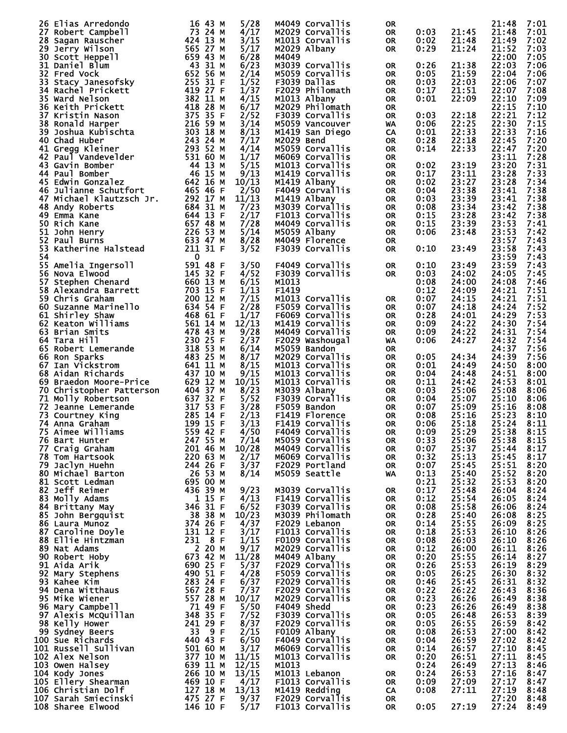|     | 26 Elias Arredondo       | 16 43 M              | 5/28  | M4049 Corvallis | 0R        |      |       | 21:48 | 7:01 |
|-----|--------------------------|----------------------|-------|-----------------|-----------|------|-------|-------|------|
|     |                          |                      |       |                 |           | 0:03 | 21:45 | 21:48 |      |
|     | 27 Robert Campbell       | 73 24 M              | 4/17  | M2029 Corvallis | <b>OR</b> |      |       |       | 7:01 |
|     | 28 Sagan Rauscher        | 424 13 M             | 3/15  | M1013 Corvallis | <b>OR</b> | 0:02 | 21:48 | 21:49 | 7:02 |
|     | 29 Jerry Wilson          | 565 27 M             | 5/17  | M2029 Albany    | <b>OR</b> | 0:29 | 21:24 | 21:52 | 7:03 |
|     | 30 Scott Heppell         | 659 43 M             | 6/28  | M4049           |           |      |       | 22:00 | 7:05 |
|     |                          |                      |       |                 |           |      |       |       |      |
|     | 31 Daniel Blum           | 43 31 M              | 6/23  | M3039 Corvallis | 0R        | 0:26 | 21:38 | 22:03 | 7:06 |
|     | 32 Fred Vock             | 652 56 M             | 2/14  | M5059 Corvallis | <b>OR</b> | 0:05 | 21:59 | 22:04 | 7:06 |
|     |                          | 255 31 F             | 1/52  | F3039 Dallas    |           |      |       | 22:06 |      |
|     | 33 Stacy Janesofsky      |                      |       |                 | <b>OR</b> | 0:03 | 22:03 |       | 7:07 |
|     | 34 Rachel Prickett       | 419 27 F             | 1/37  | F2029 Philomath | <b>OR</b> | 0:17 | 21:51 | 22:07 | 7:08 |
|     | <b>35 Ward Nelson</b>    | 382 11 M             | 4/15  | M1013 Albany    | <b>OR</b> | 0:01 | 22:09 | 22:10 | 7:09 |
|     |                          |                      |       |                 |           |      |       |       |      |
|     | 36 Keith Prickett        | 418 28 M             | 6/17  | M2029 Philomath | <b>OR</b> |      |       | 22:15 | 7:10 |
|     | 37 Kristin Nason         | 375 35 F             | 2/52  | F3039 Corvallis | <b>OR</b> | 0:03 | 22:18 | 22:21 | 7:12 |
|     | 38 Ronald Harper         | 216 59 M             | 3/14  | M5059 Vancouver | WA        | 0:06 | 22:25 | 22:30 | 7:15 |
|     |                          |                      |       |                 |           |      |       |       |      |
|     | 39 Joshua Kubischta      | 303 18 M             | 8/13  | M1419 San Diego | CA        | 0:01 | 22:33 | 22:33 | 7:16 |
|     | 40 Chad Huber            | 243 24 M             | 7/17  | M2029 Bend      | <b>OR</b> | 0:28 | 22:18 | 22:45 | 7:20 |
|     | 41 Gregg Kleiner         | 293 52 M             | 4/14  | M5059 Corvallis | <b>OR</b> | 0:14 | 22:33 | 22:47 | 7:20 |
|     |                          |                      |       |                 |           |      |       |       |      |
|     | 42 Paul Vandevelder      | 531 60 M             | 1/17  | M6069 Corvallis | <b>OR</b> |      |       | 23:11 | 7:28 |
|     | 43 Gavin Bomber          | 44 13 M              | 5/15  | M1013 Corvallis | <b>OR</b> | 0:02 | 23:19 | 23:20 | 7:31 |
|     | 44 Paul Bomber           | 46 15 M              |       |                 |           |      | 23:11 | 23:28 | 7:33 |
|     |                          |                      | 9/13  | M1419 Corvallis | <b>OR</b> | 0:17 |       |       |      |
|     | 45 Edwin Gonzalez        | 642 16 M             | 10/13 | M1419 Albany    | <b>OR</b> | 0:02 | 23:27 | 23:28 | 7:34 |
|     | 46 Julianne Schutfort    | 465 46 F             | 2/50  | F4049 Corvallis | <b>OR</b> | 0:04 | 23:38 | 23:41 | 7:38 |
|     |                          |                      |       |                 |           |      |       |       |      |
|     | 47 Michael Klautzsch Jr. | 292 17 M             | 11/13 | M1419 Albany    | <b>OR</b> | 0:03 | 23:39 | 23:41 | 7:38 |
|     | 48 Andy Roberts          | 684 31 M             | 7/23  | M3039 Corvallis | <b>OR</b> | 0:08 | 23:34 | 23:42 | 7:38 |
|     | 49 Emma Kane             | 644 13 F             | 2/17  | F1013 Corvallis | <b>OR</b> | 0:15 | 23:28 | 23:42 | 7:38 |
|     |                          |                      |       |                 |           |      |       |       |      |
|     | 50 Rich Kane             | 657 48 м<br>226 53 м | 7/28  | M4049 Corvallis | 0R        | 0:15 | 23:39 | 23:53 | 7:41 |
| 51  | John Henry               |                      | 5/14  | M5059 Albany    | <b>OR</b> | 0:06 | 23:48 | 23:53 | 7:42 |
|     | 52 Paul Burns            | 633 47 M             | 8/28  | M4049 Florence  | 0R        |      |       | 23:57 | 7:43 |
|     |                          |                      |       |                 |           |      |       |       |      |
| 53. | Katherine Halstead       | 211 31 F             | 3/52  | F3039 Corvallis | <b>OR</b> | 0:10 | 23:49 | 23:58 | 7:43 |
| 54  |                          | $\mathbf 0$          |       |                 |           |      |       | 23:59 | 7:43 |
|     | 55 Amelia Ingersoll      | 591 48 F             | 3/50  | F4049 Corvallis | 0R        | 0:10 | 23:49 | 23:59 | 7:43 |
|     |                          |                      |       |                 |           |      |       |       |      |
|     | 56 Nova Elwood           | 145 32 F             | 4/52  | F3039 Corvallis | <b>OR</b> | 0:03 | 24:02 | 24:05 | 7:45 |
| 57  | Stephen Chenard          | 660 13 M             | 6/15  | M1013           |           | 0:08 | 24:00 | 24:08 | 7:46 |
|     | 58 Alexandra Barrett     | 703 15 F             | 1/13  | F1419           |           | 0:12 | 24:09 | 24:21 | 7:51 |
|     |                          |                      |       |                 |           |      |       |       |      |
|     | 59 Chris Graham          | 200 12 M             | 7/15  | M1013 Corvallis | 0R        | 0:07 | 24:15 | 24:21 | 7:51 |
|     | 60 Suzanne Marinello     | 634 54 F             | 2/28  | F5059 Corvallis | <b>OR</b> | 0:07 | 24:18 | 24:24 | 7:52 |
|     |                          |                      | 1/17  | F6069 Corvallis |           |      |       | 24:29 | 7:53 |
|     | 61 Shirley Shaw          | 468 61 F             |       |                 | <b>OR</b> | 0:28 | 24:01 |       |      |
|     | 62 Keaton Williams       | 561 14 M             | 12/13 | M1419 Corvallis | 0R        | 0:09 | 24:22 | 24:30 | 7:54 |
|     | 63 Brian Smits           | 478 43 M             | 9/28  | M4049 Corvallis | <b>OR</b> | 0:09 | 24:22 | 24:31 | 7:54 |
|     |                          |                      |       |                 |           |      |       |       |      |
|     | 64 Tara Hill             | 230 25 F             | 2/37  | F2029 Washougal | <b>WA</b> | 0:06 | 24:27 | 24:32 | 7:54 |
|     | 65 Robert Lemerande      | 318 53 M             | 6/14  | M5059 Bandon    | 0R        |      |       | 24:37 | 7:56 |
|     | 66 Ron Sparks            | 483 25 M             | 8/17  | M2029 Corvallis | <b>OR</b> | 0:05 | 24:34 | 24:39 | 7:56 |
|     |                          |                      |       |                 |           |      |       |       |      |
|     | 67 Ian Vickstrom         | 641 11 M             | 8/15  | M1013 Corvallis | <b>OR</b> | 0:01 | 24:49 | 24:50 | 8:00 |
|     | 68 Aidan Richards        | 437 10 M             | 9/15  | M1013 Corvallis | <b>OR</b> | 0:04 | 24:48 | 24:51 | 8:00 |
|     | 69 Braedon Moore-Price   | 629 12 M             | 10/15 | M1013 Corvallis | <b>OR</b> | 0:11 | 24:42 | 24:53 | 8:01 |
|     |                          |                      |       |                 |           |      |       |       |      |
|     | 70 Christopher Patterson | 404 37 M             | 8/23  | M3039 Albany    | 0R        | 0:03 | 25:06 | 25:08 | 8:06 |
|     | 71 Molly Robertson       | 637 32 F             | 5/52  | F3039 Corvallis | <b>OR</b> | 0:04 | 25:07 | 25:10 | 8:06 |
|     | 72 Jeanne Lemerande      | 317 53 F             | 3/28  | F5059 Bandon    | <b>OR</b> | 0:07 | 25:09 | 25:16 |      |
|     |                          |                      |       |                 |           |      |       |       | 8:08 |
|     | 73 Courtney King         | 285 14 F             | 2/13  | F1419 Florence  | <b>OR</b> | 0:08 | 25:16 | 25:23 | 8:10 |
|     | 74 Anna Graham           | 199 15 F             | 3/13  | F1419 Corvallis | <b>OR</b> | 0:06 | 25:18 | 25:24 | 8:11 |
|     | 75 Aimee Williams        | 559 42 F             | 4/50  | F4049 Corvallis | OR        | 0:09 | 25:29 | 25:38 | 8:15 |
|     |                          |                      |       |                 |           |      |       |       |      |
|     | 76 Bart Hunter           | 247 55 M             | 7/14  | M5059 Corvallis | OR.       | 0:33 | 25:06 | 25:38 | 8:15 |
|     | 77 Craig Graham          | 201 46 M             | 10/28 | M4049 Corvallis | <b>OR</b> | 0:07 | 25:37 | 25:44 | 8:17 |
|     | 78 Tom Hartsook          | 220 63 M             | 2/17  | M6069 Corvallis | <b>OR</b> | 0:32 | 25:13 | 25:45 | 8:17 |
|     |                          |                      |       |                 |           |      |       |       |      |
|     | 79 Jaclyn Huehn          | 244 26 F             | 3/37  | F2029 Portland  | <b>OR</b> | 0:07 | 25:45 | 25:51 | 8:20 |
|     | 80 Michael Barton        | 26 53 M              | 8/14  | M5059 Seattle   | WA        | 0:13 | 25:40 | 25:52 | 8:20 |
|     | 81 Scott Ledman          | 695 ОО М             |       |                 |           | 0:21 | 25:32 | 25:53 | 8:20 |
|     | 82 Jeff Reimer           |                      |       |                 |           |      |       |       |      |
|     |                          | 436 39 M             | 9/23  | M3039 Corvallis | 0R        | 0:17 | 25:48 | 26:04 | 8:24 |
|     | 83 Molly Adams           | 115F                 | 4/13  | F1419 Corvallis | 0R        | 0:12 | 25:54 | 26:05 | 8:24 |
|     | 84 Brittany May          | 346 31 F             | 6/52  | F3039 Corvallis | 0R        | 0:08 | 25:58 | 26:06 | 8:24 |
|     |                          | 38 38 M              | 10/23 | M3039 Philomath |           | 0:28 | 25:40 | 26:08 | 8:25 |
|     | 85 John Bergquist        |                      |       |                 | 0R        |      |       |       |      |
|     | 86 Laura Munoz           | 374 26 F             | 4/37  | F2029 Lebanon   | 0R        | 0:14 | 25:55 | 26:09 | 8:25 |
|     | 87 Caroline Doyle        | 131 12 F             | 3/17  | F1013 Corvallis | 0R        | 0:18 | 25:53 | 26:10 | 8:26 |
|     | 88 Ellie Hintzman        | 231 8 F              | 1/15  | F0109 Corvallis |           |      | 26:03 | 26:10 | 8:26 |
|     |                          |                      |       |                 | 0R        | 0:08 |       |       |      |
|     | 89 Nat Adams             | 2 20 M               | 9/17  | M2029 Corvallis | 0R        | 0:12 | 26:00 | 26:11 | 8:26 |
|     | 90 Robert Hoby           | 673 42 M             | 11/28 | M4049 Albany    | 0R        | 0:20 | 25:55 | 26:14 | 8:27 |
|     | 91 Aida Arik             | 690 25 F             | 5/37  | F2029 Corvallis |           | 0:26 | 25:53 | 26:19 | 8:29 |
|     |                          |                      |       |                 | 0R        |      |       |       |      |
|     | 92 Mary Stephens         | 490 51 F             | 4/28  | F5059 Corvallis | 0R        | 0:05 | 26:25 | 26:30 | 8:32 |
|     | 93 Kahee Kim             | 283 24 F             | 6/37  | F2029 Corvallis | 0R        | 0:46 | 25:45 | 26:31 | 8:32 |
|     |                          |                      |       |                 |           |      |       |       |      |
|     | 94 Dena Witthaus         | 567 28 F             | 7/37  | F2029 Corvallis | 0R        | 0:22 | 26:22 | 26:43 | 8:36 |
|     | 95 Mike Wiener           | 557 28 M             | 10/17 | M2029 Corvallis | 0R        | 0:23 | 26:26 | 26:49 | 8:38 |
|     | 96 Mary Campbell         | 71 49 F              | 5/50  | F4049 Shedd     | 0R        | 0:23 | 26:26 | 26:49 | 8:38 |
|     | 97 Alexis McQuillan      |                      | 7/52  |                 |           |      |       |       |      |
|     |                          | 348 35 F             |       | F3039 Corvallis | 0R        | 0:05 | 26:48 | 26:53 | 8:39 |
|     | 98 Kelly Hower           | 241 29 F             | 8/37  | F2029 Corvallis | <b>OR</b> | 0:05 | 26:55 | 26:59 | 8:42 |
|     | 99 Sydney Beers          | 33 9 F               | 2/15  | F0109 Albany    | 0R        | 0:08 | 26:53 | 27:00 | 8:42 |
|     |                          |                      |       |                 |           |      |       |       |      |
|     | 100 Sue Richards         | 440 43 F             | 6/50  | F4049 Corvallis | 0R        | 0:04 | 26:59 | 27:02 | 8:42 |
|     | 101 Russell Sullivan     | 501 60 M             | 3/17  | M6069 Corvallis | 0R        | 0:14 | 26:57 | 27:10 | 8:45 |
|     | 102 Alex Nelson          | 377 10 M             | 11/15 | M1013 Corvallis | 0R        | 0:20 | 26:51 | 27:11 | 8:45 |
|     |                          |                      |       |                 |           |      |       |       |      |
|     | 103 Owen Halsey          | 639 11 M             | 12/15 | M1013           |           | 0:24 | 26:49 | 27:13 | 8:46 |
|     | 104 Kody Jones           | 266 10 M             | 13/15 | M1013 Lebanon   | 0R        | 0:24 | 26:53 | 27:16 | 8:47 |
|     | 105 Ellery Shearman      | 469 10 F             | 4/17  | F1013 Corvallis | 0R        | 0:09 | 27:09 | 27:17 | 8:47 |
|     |                          |                      |       |                 |           |      |       |       |      |
|     | 106 Christian Dolf       | 127 18 M             | 13/13 | M1419 Redding   | CA        | 0:08 | 27:11 | 27:19 | 8:48 |
|     | 107 Sarah Smiecinski     | 475 27 F             | 9/37  | F2029 Corvallis | 0R        |      |       | 27:20 | 8:48 |
|     | 108 Sharee Elwood        | 146 10 F             | 5/17  | F1013 Corvallis | 0R        | 0:05 | 27:19 | 27:24 | 8:49 |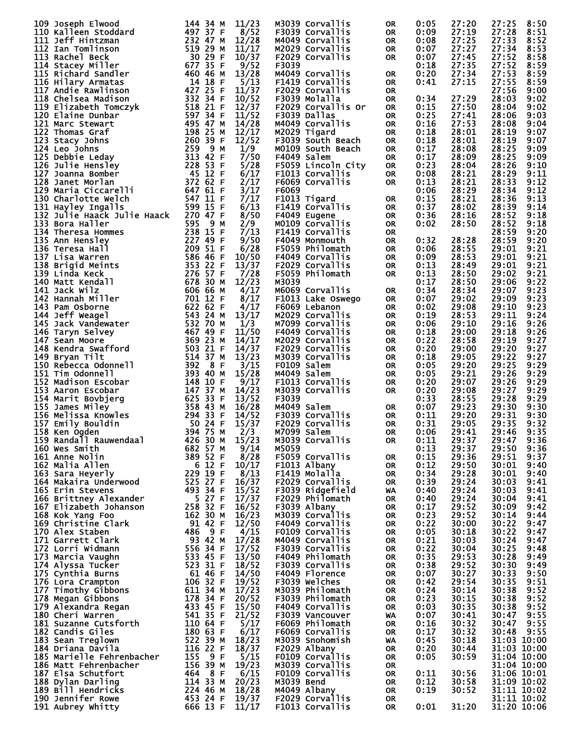| 109 Joseph Elwood                                                                                                                                                                                                                                                         | 144 34 M                                               | 11/23 | M3039 Corvallis    | <b>OR</b> | 0:05 | 27:20 | 27:25<br>8:50 |
|---------------------------------------------------------------------------------------------------------------------------------------------------------------------------------------------------------------------------------------------------------------------------|--------------------------------------------------------|-------|--------------------|-----------|------|-------|---------------|
| 110 Kalleen Stoddard                                                                                                                                                                                                                                                      | 497 37 F                                               | 8/52  |                    |           |      | 27:19 | 27:28<br>8:51 |
|                                                                                                                                                                                                                                                                           |                                                        |       | F3039 Corvallis    | <b>OR</b> | 0:09 |       |               |
| 111 Jeff Hintzman<br>111 Jeff Hintzman<br>112 Ian Tomlinson<br>112 Ian Tomlinson<br>112 Ian Tomlinson<br>113 Rachel Beck<br>114 Stacey Miller<br>116 Hilary Armatas<br>116 Hilary Armatas<br>116 Hilary Armatas<br>118 Chelsea Madison<br>118 Chelsea Madison<br>119 Eliz | 232 47 M                                               | 12/28 | M4049 Corvallis    | <b>OR</b> | 0:08 | 27:25 | 27:33<br>8:52 |
|                                                                                                                                                                                                                                                                           |                                                        | 11/17 | M2029 Corvallis    | <b>OR</b> | 0:07 | 27:27 | 27:34<br>8:53 |
|                                                                                                                                                                                                                                                                           |                                                        | 10/37 | F2029 Corvallis    | <b>OR</b> | 0:07 | 27:45 | 27:52<br>8:58 |
|                                                                                                                                                                                                                                                                           |                                                        |       |                    |           |      |       |               |
|                                                                                                                                                                                                                                                                           |                                                        | 9/52  | F3039              |           | 0:18 | 27:35 | 27:52<br>8:59 |
|                                                                                                                                                                                                                                                                           |                                                        | 13/28 | M4049 Corvallis    | <b>OR</b> | 0:20 | 27:34 | 27:53<br>8:59 |
|                                                                                                                                                                                                                                                                           |                                                        | 5/13  | F1419 Corvallis    | <b>OR</b> | 0:41 | 27:15 | 27:55<br>8:59 |
|                                                                                                                                                                                                                                                                           |                                                        |       |                    |           |      |       |               |
|                                                                                                                                                                                                                                                                           |                                                        | 11/37 | F2029 Corvallis    | <b>OR</b> |      |       | 27:56<br>9:00 |
|                                                                                                                                                                                                                                                                           |                                                        | 10/52 | F3039 Molalla      | <b>OR</b> | 0:34 | 27:29 | 28:03<br>9:02 |
|                                                                                                                                                                                                                                                                           |                                                        | 12/37 | F2029 Corvallis Or | <b>OR</b> | 0:15 | 27:50 | 28:04<br>9:02 |
|                                                                                                                                                                                                                                                                           |                                                        |       |                    |           |      |       |               |
|                                                                                                                                                                                                                                                                           |                                                        | 11/52 | F3039 Dallas       | <b>OR</b> | 0:25 | 27:41 | 28:06<br>9:03 |
|                                                                                                                                                                                                                                                                           |                                                        | 14/28 | M4049 Corvallis    | <b>OR</b> | 0:16 | 27:53 | 9:04<br>28:08 |
|                                                                                                                                                                                                                                                                           |                                                        | 12/17 |                    |           |      | 28:01 |               |
|                                                                                                                                                                                                                                                                           |                                                        |       | M2029 Tigard       | <b>OR</b> | 0:18 |       | 28:19<br>9:07 |
|                                                                                                                                                                                                                                                                           |                                                        | 12/52 | F3039 South Beach  | <b>OR</b> | 0:18 | 28:01 | 28:19<br>9:07 |
|                                                                                                                                                                                                                                                                           |                                                        | 1/9   | MO109 South Beach  | <b>OR</b> | 0:17 | 28:08 | 28:25<br>9:09 |
|                                                                                                                                                                                                                                                                           |                                                        |       |                    |           |      |       |               |
|                                                                                                                                                                                                                                                                           |                                                        | 7/50  | F4049 Salem        | <b>OR</b> | 0:17 | 28:09 | 28:25<br>9:09 |
|                                                                                                                                                                                                                                                                           |                                                        | 5/28  | F5059 Lincoln City | <b>OR</b> | 0:23 | 28:04 | 28:26<br>9:10 |
|                                                                                                                                                                                                                                                                           |                                                        | 6/17  | F1013 Corvallis    | <b>OR</b> | 0:08 | 28:21 | 28:29<br>9:11 |
|                                                                                                                                                                                                                                                                           |                                                        |       |                    |           |      |       |               |
|                                                                                                                                                                                                                                                                           |                                                        | 2/17  | F6069 Corvallis    | <b>OR</b> | 0:13 | 28:21 | 28:33<br>9:12 |
|                                                                                                                                                                                                                                                                           |                                                        | 3/17  | F6069              |           | 0:06 | 28:29 | 9:12<br>28:34 |
| 130 Charlotte Welch                                                                                                                                                                                                                                                       | 547 11 F                                               | 7/17  | F1013 Tigard       | OR        | 0:15 | 28:21 | 28:36<br>9:13 |
|                                                                                                                                                                                                                                                                           |                                                        |       |                    |           |      |       |               |
| 131 Hayley Ingalls                                                                                                                                                                                                                                                        | 599 15 F                                               | 6/13  | F1419 Corvallis    | <b>OR</b> | 0:37 | 28:02 | 28:39<br>9:14 |
| 132 Julie Haack Julie Haack 270 47 F                                                                                                                                                                                                                                      |                                                        | 8/50  | F4049 Eugene       | <b>OR</b> | 0:36 | 28:16 | 28:52<br>9:18 |
|                                                                                                                                                                                                                                                                           |                                                        | 2/9   | M0109 Corvallis    | <b>OR</b> | 0:02 | 28:50 | 28:52<br>9:18 |
|                                                                                                                                                                                                                                                                           |                                                        |       |                    |           |      |       |               |
|                                                                                                                                                                                                                                                                           |                                                        | 7/13  | F1419 Corvallis    | <b>OR</b> |      |       | 28:59<br>9:20 |
|                                                                                                                                                                                                                                                                           |                                                        | 9/50  | F4049 Monmouth     | <b>OR</b> | 0:32 | 28:28 | 28:59<br>9:20 |
|                                                                                                                                                                                                                                                                           |                                                        | 6/28  | F5059 Philomath    | <b>OR</b> | 0:06 | 28:55 | 29:01<br>9:21 |
|                                                                                                                                                                                                                                                                           |                                                        |       |                    |           |      |       |               |
|                                                                                                                                                                                                                                                                           |                                                        | 10/50 | F4049 Corvallis    | <b>OR</b> | 0:09 | 28:53 | 29:01<br>9:21 |
|                                                                                                                                                                                                                                                                           |                                                        | 13/37 | F2029 Corvallis    | <b>OR</b> | 0:13 | 28:49 | 29:01<br>9:21 |
|                                                                                                                                                                                                                                                                           |                                                        | 7/28  | F5059 Philomath    |           | 0:13 | 28:50 | 29:02         |
|                                                                                                                                                                                                                                                                           |                                                        |       |                    | <b>OR</b> |      |       | 9:21          |
|                                                                                                                                                                                                                                                                           |                                                        | 12/23 | M3039              |           | 0:17 | 28:50 | 29:06<br>9:22 |
|                                                                                                                                                                                                                                                                           |                                                        | 4/17  | M6069 Corvallis    | <b>OR</b> | 0:34 | 28:34 | 29:07<br>9:23 |
|                                                                                                                                                                                                                                                                           |                                                        |       |                    |           |      |       |               |
|                                                                                                                                                                                                                                                                           |                                                        | 8/17  | F1013 Lake Oswego  | <b>OR</b> | 0:07 | 29:02 | 29:09<br>9:23 |
|                                                                                                                                                                                                                                                                           |                                                        | 4/17  | F6069 Lebanon      | <b>OR</b> | 0:02 | 29:08 | 29:10<br>9:23 |
|                                                                                                                                                                                                                                                                           |                                                        | 13/17 | M2029 Corvallis    | <b>OR</b> | 0:19 | 28:53 | 29:11<br>9:24 |
|                                                                                                                                                                                                                                                                           |                                                        |       |                    |           |      |       |               |
|                                                                                                                                                                                                                                                                           |                                                        | 1/3   | M7099 Corvallis    | <b>OR</b> | 0:06 | 29:10 | 29:16<br>9:26 |
| 132 Julie Haack Julie Haack 270 47 F<br>133 Bora Haller<br>134 Theresa Hommes<br>135 Ann Hensley<br>136 Teresa Hall<br>136 Teresa Hall<br>136 Teresa Hall<br>136 Teresa Hall<br>136 Teresa Hall<br>136 Sanging 227 49 F F F F F F F F F F F F F                           |                                                        | 11/50 | F4049 Corvallis    | <b>OR</b> | 0:18 | 29:00 | 29:18<br>9:26 |
|                                                                                                                                                                                                                                                                           |                                                        | 14/17 | M2029 Corvallis    | <b>OR</b> | 0:22 | 28:58 | 29:19<br>9:27 |
|                                                                                                                                                                                                                                                                           |                                                        |       |                    |           |      |       |               |
|                                                                                                                                                                                                                                                                           |                                                        | 14/37 | F2029 Corvallis    | <b>OR</b> | 0:20 | 29:00 | 29:20<br>9:27 |
|                                                                                                                                                                                                                                                                           |                                                        | 13/23 | M3039 Corvallis    | <b>OR</b> | 0:18 | 29:05 | 29:22<br>9:27 |
| 150 Rebecca Odonnell                                                                                                                                                                                                                                                      |                                                        | 3/15  | F0109 Salem        | <b>OR</b> | 0:05 | 29:20 | 9:29<br>29:25 |
|                                                                                                                                                                                                                                                                           |                                                        |       |                    |           |      |       |               |
| 151 Tim Odonnell                                                                                                                                                                                                                                                          |                                                        | 15/28 | M4049 Salem        | <b>OR</b> | 0:05 | 29:21 | 9:29<br>29:26 |
| 152 Madison Escobar                                                                                                                                                                                                                                                       |                                                        | 9/17  | F1013 Corvallis    | <b>OR</b> | 0:20 | 29:07 | 29:26<br>9:29 |
| 153 Aaron Escobar                                                                                                                                                                                                                                                         | $392 \t 8 F$ $393 \t 40 M$ $148 \t 10 F$ $147 \t 37 M$ | 14/23 | M3039 Corvallis    | <b>OR</b> | 0:20 | 29:08 | 9:29<br>29:27 |
|                                                                                                                                                                                                                                                                           |                                                        |       |                    |           |      |       |               |
| 154 Marit Bovbjerg                                                                                                                                                                                                                                                        |                                                        | 13/52 | F3039              |           | 0:33 | 28:55 | 29:28<br>9:29 |
| 155 James Miley                                                                                                                                                                                                                                                           |                                                        | 16/28 | M4049 Salem        | OR        | 0:07 | 29:23 | 29:30<br>9:30 |
|                                                                                                                                                                                                                                                                           | 425 33 F<br>358 43 M<br>294 33 F<br>504 24 M           |       | F3039 Corvallis    |           | 0:11 | 29:20 | 29:31         |
| 156 Melissa Knowles                                                                                                                                                                                                                                                       |                                                        | 14/52 |                    | OR        |      |       | 9:30          |
| 157 Emily Bouldin                                                                                                                                                                                                                                                         |                                                        | 15/37 | F2029 Corvallis    | <b>OR</b> | 0:31 | 29:05 | 29:35<br>9:32 |
| 158 Ken Ogden                                                                                                                                                                                                                                                             | 394 75 M                                               | 2/3   | M7099 Salem        | <b>OR</b> | 0:06 | 29:41 | 29:46<br>9:35 |
| 159 Randa11 Rauwendaa1                                                                                                                                                                                                                                                    | 426 30 M                                               | 15/23 |                    |           |      |       |               |
|                                                                                                                                                                                                                                                                           |                                                        |       | M3039 Corvallis    | 0R        | 0:11 | 29:37 | 29:47<br>9:36 |
| 160 Wes Smith                                                                                                                                                                                                                                                             | $682$ 57 M                                             | 9/14  | M5059              |           | 0:13 | 29:37 | 29:50<br>9:36 |
| 161 Anne Nolin                                                                                                                                                                                                                                                            | 389 52 F                                               | 8/28  | F5059 Corvallis    | 0R        | 0:15 | 29:36 | 29:51<br>9:37 |
|                                                                                                                                                                                                                                                                           | 612 F                                                  | 10/17 |                    |           | 0:12 | 29:50 |               |
| 162 Malia Allen                                                                                                                                                                                                                                                           |                                                        |       | F1013 Albany       | <b>OR</b> |      |       | 30:01<br>9:40 |
| 163 Sara Heyerly                                                                                                                                                                                                                                                          | 229 19 F                                               | 8/13  | F1419 Molalla      | <b>OR</b> | 0:34 | 29:28 | 30:01<br>9:40 |
| 164 Makaira Underwood                                                                                                                                                                                                                                                     | $525$ 27 F                                             | 16/37 | F2029 Corvallis    | <b>OR</b> | 0:39 | 29:24 | 30:03<br>9:41 |
|                                                                                                                                                                                                                                                                           | 493 34 F                                               |       |                    |           |      |       | 9:41          |
| 165 Erin Stevens                                                                                                                                                                                                                                                          |                                                        | 15/52 | F3039 Ridgefield   | WA        | 0:40 | 29:24 | 30:03         |
| 166 Brittney Alexander                                                                                                                                                                                                                                                    | 527F                                                   | 17/37 | F2029 Philomath    | <b>OR</b> | 0:40 | 29:24 | 30:04<br>9:41 |
| 167 Elizabeth Johanson                                                                                                                                                                                                                                                    | 258 32 F                                               | 16/52 | F3039 Albany       | <b>OR</b> | 0:17 | 29:52 | 30:09<br>9:42 |
|                                                                                                                                                                                                                                                                           | 162 30 M                                               | 16/23 | M3039 Corvallis    | <b>OR</b> | 0:23 | 29:52 | 30:14<br>9:44 |
| 168 Kok Yang Foo                                                                                                                                                                                                                                                          |                                                        |       |                    |           |      |       |               |
| 169 Christine Clark                                                                                                                                                                                                                                                       | 9142 F                                                 | 12/50 | F4049 Corvallis    | 0R        | 0:22 | 30:00 | 30:22<br>9:47 |
| 170 Alex Staben                                                                                                                                                                                                                                                           | 9 F<br>486                                             | 4/15  | F0109 Corvallis    | <b>OR</b> | 0:05 | 30:18 | 30:22<br>9:47 |
| 171 Garrett Clark                                                                                                                                                                                                                                                         | 93 42 M                                                | 17/28 | M4049 Corvallis    | 0R        | 0:21 | 30:03 | 30:24<br>9:47 |
|                                                                                                                                                                                                                                                                           |                                                        |       |                    |           |      |       |               |
| 172 Lorri Widmann                                                                                                                                                                                                                                                         | 556 34 F                                               | 17/52 | F3039 Corvallis    | <b>OR</b> | 0:22 | 30:04 | 30:25<br>9:48 |
| 173 Marcia Vaughn                                                                                                                                                                                                                                                         | 533 45 F                                               | 13/50 | F4049 Philomath    | 0R        | 0:35 | 29:53 | 30:28<br>9:49 |
| 174 Alyssa Tucker                                                                                                                                                                                                                                                         | 523 31 F                                               | 18/52 | F3039 Corvallis    | <b>OR</b> | 0:38 | 29:52 | 30:30<br>9:49 |
|                                                                                                                                                                                                                                                                           |                                                        |       |                    |           |      |       |               |
| 175 Cynthia Burns                                                                                                                                                                                                                                                         | $6146$ F                                               | 14/50 | F4049 Florence     | 0R        | 0:07 | 30:27 | 30:33<br>9:50 |
| 176 Lora Crampton                                                                                                                                                                                                                                                         | 106 32 F                                               | 19/52 | F3039 Welches      | <b>OR</b> | 0:42 | 29:54 | 30:35<br>9:51 |
| 177 Timothy Gibbons                                                                                                                                                                                                                                                       | 611 34 M                                               | 17/23 | M3039 Philomath    | 0R        | 0:24 | 30:14 | 9:52<br>30:38 |
|                                                                                                                                                                                                                                                                           |                                                        |       |                    |           |      |       |               |
| 178 Megan Gibbons                                                                                                                                                                                                                                                         | 178 34 F                                               | 20/52 | F3039 Philomath    | <b>OR</b> | 0:23 | 30:15 | 9:52<br>30:38 |
| 179 Alexandra Regan                                                                                                                                                                                                                                                       | 433 45 F                                               | 15/50 | F4049 Corvallis    | 0R        | 0:03 | 30:35 | 9:52<br>30:38 |
| 180 Cheri Warren                                                                                                                                                                                                                                                          | 541 35 F                                               | 21/52 | F3039 Vancouver    | WA        | 0:07 | 30:41 | 9:55<br>30:47 |
|                                                                                                                                                                                                                                                                           |                                                        |       |                    |           |      |       |               |
| 181 Suzanne Cutsforth                                                                                                                                                                                                                                                     | 110 64 F                                               | 5/17  | F6069 Philomath    | 0R        | 0:16 | 30:32 | 9:55<br>30:47 |
| 182 Candis Giles                                                                                                                                                                                                                                                          | 180 63 F                                               | 6/17  | F6069 Corvallis    | <b>OR</b> | 0:17 | 30:32 | 9:55<br>30:48 |
| 183 Sean Treglown                                                                                                                                                                                                                                                         | 522 39 M                                               | 18/23 | M3039 Snohomish    |           | 0:45 | 30:18 | 31:03 10:00   |
|                                                                                                                                                                                                                                                                           |                                                        |       |                    | <b>WA</b> |      |       |               |
| 184 Driana Davila                                                                                                                                                                                                                                                         | 116 22 F                                               | 18/37 | F2029 Albany       | 0R        | 0:20 | 30:44 | 31:03 10:00   |
| 185 Marielle Fehrenbacher                                                                                                                                                                                                                                                 | 155 9 F                                                | 5/15  | F0109 Corvallis    | 0R        | 0:05 | 30:59 | 31:04 10:00   |
| 186 Matt Fehrenbacher                                                                                                                                                                                                                                                     | 156 39 M                                               | 19/23 | M3039 Corvallis    | <b>OR</b> |      |       | 31:04 10:00   |
|                                                                                                                                                                                                                                                                           |                                                        |       |                    |           |      |       |               |
| 187 Elsa Schutfort                                                                                                                                                                                                                                                        | 464 8 F                                                | 6/15  | F0109 Corvallis    | 0R        | 0:11 | 30:56 | 31:06 10:01   |
| 188 Dylan Darling                                                                                                                                                                                                                                                         | 114 33 M                                               | 20/23 | M3039 Bend         | <b>OR</b> | 0:12 | 30:58 | 31:09 10:02   |
| 189 Bill Hendricks                                                                                                                                                                                                                                                        | 224 46 M                                               | 18/28 | M4049 Albany       | 0R        | 0:19 | 30:52 | 31:11 10:02   |
|                                                                                                                                                                                                                                                                           |                                                        |       |                    |           |      |       |               |
| 190 Jennifer Rowe                                                                                                                                                                                                                                                         | 453 24 F                                               | 19/37 | F2029 Corvallis    | <b>OR</b> |      |       | 31:11 10:02   |
| 191 Aubrey Whitty                                                                                                                                                                                                                                                         | 666 13 F                                               | 11/17 | F1013 Corvallis    | <b>OR</b> | 0:01 | 31:20 | 31:20 10:06   |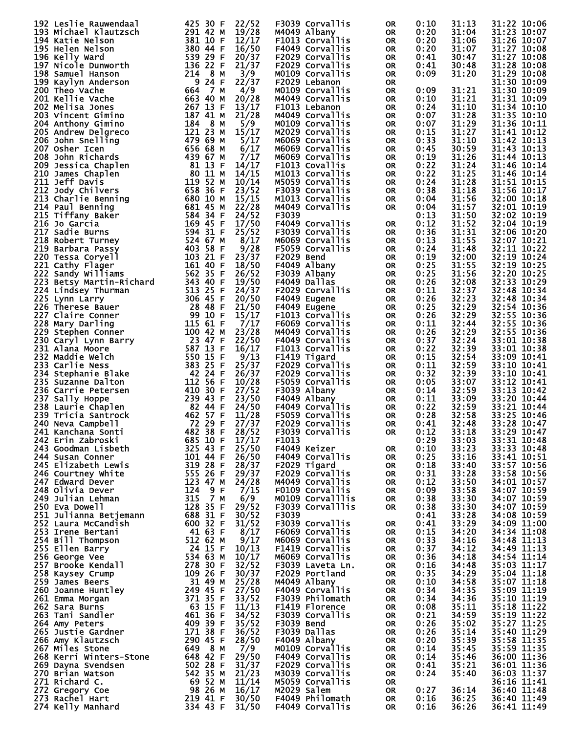| 192 Leslie Rauwendaal                                                                                                                                                                                                                                  | 425 30 F<br>22/52                                                                                                                                                                           | F3039 Corvallis   | 0R        | 0:10 | 31:13 | 31:22 10:06 |
|--------------------------------------------------------------------------------------------------------------------------------------------------------------------------------------------------------------------------------------------------------|---------------------------------------------------------------------------------------------------------------------------------------------------------------------------------------------|-------------------|-----------|------|-------|-------------|
| 193 Michael Klautzsch                                                                                                                                                                                                                                  | 291 42 M<br>19/28                                                                                                                                                                           | M4049 Albany      | <b>OR</b> | 0:20 | 31:04 | 31:23 10:07 |
|                                                                                                                                                                                                                                                        | 381 10 F                                                                                                                                                                                    |                   |           |      | 31:06 |             |
| 194 Katie Nelson                                                                                                                                                                                                                                       | 12/17                                                                                                                                                                                       | F1013 Corvallis   | <b>OR</b> | 0:20 |       | 31:26 10:07 |
| 195 Helen Nelson                                                                                                                                                                                                                                       | 380 44 F<br>539 29 F<br>136 22 F<br>16/50                                                                                                                                                   | F4049 Corvallis   | <b>OR</b> | 0:20 | 31:07 | 31:27 10:08 |
| 196 Kelly Ward                                                                                                                                                                                                                                         | 20/37<br>$\begin{array}{r} 339 \overline{29} \\ 136 \overline{22} \\ 214 \overline{34} \\ 9 \overline{24} \\ 664 \overline{7} \\ 663 \overline{40} \\ 267 \overline{13} \\ 18 \end{array}.$ | F2029 Corvallis   | 0R        | 0:41 | 30:47 | 31:27 10:08 |
|                                                                                                                                                                                                                                                        | 21/37                                                                                                                                                                                       | F2029 Corvallis   |           |      |       |             |
| 197 Nicole Dunworth                                                                                                                                                                                                                                    |                                                                                                                                                                                             |                   | <b>OR</b> | 0:41 | 30:48 | 31:28 10:08 |
| 198 Samuel Hanson                                                                                                                                                                                                                                      | 3/9                                                                                                                                                                                         | M0109 Corvallis   | 0R        | 0:09 | 31:20 | 31:29 10:08 |
| 199 Kaylyn Anderson                                                                                                                                                                                                                                    | 22/37                                                                                                                                                                                       | F2029 Lebanon     | <b>OR</b> |      |       | 31:30 10:09 |
|                                                                                                                                                                                                                                                        |                                                                                                                                                                                             |                   |           |      |       |             |
| 200 Theo Vache                                                                                                                                                                                                                                         | 4/9                                                                                                                                                                                         | M0109 Corvallis   | <b>OR</b> | 0:09 | 31:21 | 31:30 10:09 |
| 201 Kellie Vache                                                                                                                                                                                                                                       | 20/28                                                                                                                                                                                       | M4049 Corvallis   | <b>OR</b> | 0:10 | 31:21 | 31:31 10:09 |
| 202 Melisa Jones                                                                                                                                                                                                                                       | 13/17                                                                                                                                                                                       | F1013 Lebanon     | <b>OR</b> | 0:24 | 31:10 | 31:34 10:10 |
|                                                                                                                                                                                                                                                        |                                                                                                                                                                                             |                   |           |      |       |             |
| 203 Vincent Gimino                                                                                                                                                                                                                                     | 21/28                                                                                                                                                                                       | M4049 Corvallis   | <b>OR</b> | 0:07 | 31:28 | 31:35 10:10 |
| 204 Anthony Gimino                                                                                                                                                                                                                                     | $\frac{107}{184}$ $\frac{41}{8}$ M<br>5/9                                                                                                                                                   | MO109 Corvallis   | <b>OR</b> | 0:07 | 31:29 | 31:36 10:11 |
| 205 Andrew Delgreco                                                                                                                                                                                                                                    | 15/17                                                                                                                                                                                       | M2029 Corvallis   | <b>OR</b> | 0:15 | 31:27 | 31:41 10:12 |
|                                                                                                                                                                                                                                                        | 121 23 м<br>479 69 м<br>656 68 м<br>439 67 м                                                                                                                                                |                   |           |      |       |             |
| 206 John Snelling                                                                                                                                                                                                                                      | 5/17                                                                                                                                                                                        | M6069 Corvallis   | <b>OR</b> | 0:33 | 31:10 | 31:42 10:13 |
| 207 Osher Icen                                                                                                                                                                                                                                         | 6/17                                                                                                                                                                                        | M6069 Corvallis   | <b>OR</b> | 0:45 | 30:59 | 31:43 10:13 |
|                                                                                                                                                                                                                                                        | 7/17                                                                                                                                                                                        |                   |           |      |       |             |
| 208 John Richards                                                                                                                                                                                                                                      |                                                                                                                                                                                             | M6069 Corvallis   | 0R        | 0:19 | 31:26 | 31:44 10:13 |
|                                                                                                                                                                                                                                                        | 14/17                                                                                                                                                                                       | F1013 Covallis    | <b>OR</b> | 0:22 | 31:24 | 31:46 10:14 |
|                                                                                                                                                                                                                                                        | 14/15                                                                                                                                                                                       | M1013 Corvallis   | <b>OR</b> | 0:22 | 31:25 | 31:46 10:14 |
|                                                                                                                                                                                                                                                        |                                                                                                                                                                                             |                   |           |      |       |             |
|                                                                                                                                                                                                                                                        | 10/14                                                                                                                                                                                       | M5059 Corvallis   | <b>OR</b> | 0:24 | 31:28 | 31:51 10:15 |
|                                                                                                                                                                                                                                                        | 23/52                                                                                                                                                                                       | F3039 Corvallis   | <b>OR</b> | 0:38 | 31:18 | 31:56 10:17 |
|                                                                                                                                                                                                                                                        | 15/15                                                                                                                                                                                       | M1013 Corvallis   | <b>OR</b> | 0:04 | 31:56 | 32:00 10:18 |
|                                                                                                                                                                                                                                                        |                                                                                                                                                                                             |                   |           |      |       |             |
|                                                                                                                                                                                                                                                        | 22/28                                                                                                                                                                                       | M4049 Corvallis   | 0R        | 0:04 | 31:57 | 32:01 10:19 |
|                                                                                                                                                                                                                                                        | 24/52                                                                                                                                                                                       | F3039             |           | 0:13 | 31:50 | 32:02 10:19 |
|                                                                                                                                                                                                                                                        | 17/50                                                                                                                                                                                       | F4049 Corvallis   | <b>OR</b> | 0:12 | 31:52 | 32:04 10:19 |
|                                                                                                                                                                                                                                                        | 25/52                                                                                                                                                                                       |                   |           |      |       |             |
|                                                                                                                                                                                                                                                        |                                                                                                                                                                                             | F3039 Corvallis   | <b>OR</b> | 0:36 | 31:31 | 32:06 10:20 |
|                                                                                                                                                                                                                                                        | 8/17                                                                                                                                                                                        | M6069 Corvallis   | <b>OR</b> | 0:13 | 31:55 | 32:07 10:21 |
|                                                                                                                                                                                                                                                        | 9/28                                                                                                                                                                                        | F5059 Corvallis   | <b>OR</b> | 0:24 | 31:48 | 32:11 10:22 |
|                                                                                                                                                                                                                                                        |                                                                                                                                                                                             |                   |           |      |       |             |
|                                                                                                                                                                                                                                                        | 23/37                                                                                                                                                                                       | F2029 Bend        | 0R        | 0:19 | 32:00 | 32:19 10:24 |
|                                                                                                                                                                                                                                                        | 18/50                                                                                                                                                                                       | F4049 Albany      | <b>OR</b> | 0:25 | 31:55 | 32:19 10:25 |
|                                                                                                                                                                                                                                                        | 26/52                                                                                                                                                                                       | F3039 Albany      | <b>OR</b> | 0:25 | 31:56 | 32:20 10:25 |
|                                                                                                                                                                                                                                                        |                                                                                                                                                                                             |                   |           |      |       |             |
|                                                                                                                                                                                                                                                        | 19/50                                                                                                                                                                                       | F4049 Dallas      | <b>OR</b> | 0:26 | 32:08 | 32:33 10:29 |
|                                                                                                                                                                                                                                                        | 24/37                                                                                                                                                                                       | F2029 Corvallis   | <b>OR</b> | 0:11 | 32:37 | 32:48 10:34 |
|                                                                                                                                                                                                                                                        | 20/50                                                                                                                                                                                       | F4049 Eugene      | <b>OR</b> | 0:26 | 32:23 | 32:48 10:34 |
|                                                                                                                                                                                                                                                        |                                                                                                                                                                                             |                   |           |      |       |             |
|                                                                                                                                                                                                                                                        | 21/50                                                                                                                                                                                       | F4049 Eugene      | <b>OR</b> | 0:25 | 32:29 | 32:54 10:36 |
|                                                                                                                                                                                                                                                        | 15/17                                                                                                                                                                                       | F1013 Corvallis   | <b>OR</b> | 0:26 | 32:29 | 32:55 10:36 |
|                                                                                                                                                                                                                                                        | 7/17                                                                                                                                                                                        | F6069 Corvallis   | <b>OR</b> | 0:11 | 32:44 | 32:55 10:36 |
|                                                                                                                                                                                                                                                        |                                                                                                                                                                                             |                   |           |      |       |             |
|                                                                                                                                                                                                                                                        | 23/28                                                                                                                                                                                       | M4049 Corvallis   | <b>OR</b> | 0:26 | 32:29 | 32:55 10:36 |
|                                                                                                                                                                                                                                                        | 22/50                                                                                                                                                                                       | F4049 Corvallis   | <b>OR</b> | 0:37 | 32:24 | 33:01 10:38 |
|                                                                                                                                                                                                                                                        | 16/17                                                                                                                                                                                       | F1013 Corvallis   | <b>OR</b> | 0:22 | 32:39 | 33:01 10:38 |
|                                                                                                                                                                                                                                                        |                                                                                                                                                                                             |                   |           |      |       |             |
|                                                                                                                                                                                                                                                        | 9/13                                                                                                                                                                                        | F1419 Tigard      | 0R        | 0:15 | 32:54 | 33:09 10:41 |
|                                                                                                                                                                                                                                                        | 25/37                                                                                                                                                                                       | F2029 Corvallis   | <b>OR</b> | 0:11 | 32:59 | 33:10 10:41 |
|                                                                                                                                                                                                                                                        | 26/37                                                                                                                                                                                       | F2029 Corvallis   | <b>OR</b> | 0:32 | 32:39 | 33:10 10:41 |
|                                                                                                                                                                                                                                                        |                                                                                                                                                                                             |                   |           |      |       |             |
|                                                                                                                                                                                                                                                        | 10/28                                                                                                                                                                                       | F5059 Corvallis   | <b>OR</b> | 0:05 | 33:07 | 33:12 10:41 |
|                                                                                                                                                                                                                                                        | 27/52                                                                                                                                                                                       | F3039 Albany      | 0R        | 0:14 | 32:59 | 33:13 10:42 |
|                                                                                                                                                                                                                                                        | 23/50                                                                                                                                                                                       | F4049 Albany      | <b>OR</b> | 0:11 | 33:09 | 33:20 10:44 |
|                                                                                                                                                                                                                                                        |                                                                                                                                                                                             |                   |           |      |       |             |
|                                                                                                                                                                                                                                                        | 24/50                                                                                                                                                                                       | F4049 Corvallis   | <b>OR</b> | 0:22 | 32:59 | 33:21 10:44 |
|                                                                                                                                                                                                                                                        | 11/28                                                                                                                                                                                       | F5059 Corvallis   | <b>OR</b> | 0:28 | 32:58 | 33:25 10:46 |
| 207 Osher Icen<br>208 John Richards<br>209 Jessica chaplen<br>209 Jessica chaplen<br>211 1eff Davis<br>211 1eff Davis<br>211 1eff Davis<br>211 20dy Chilvers<br>212 Jody Chilvers<br>212 Jody Chilvers<br>213 Charlie Benning<br>215 Tiffany Baker<br> | 27/37                                                                                                                                                                                       | F2029 Corvallis   | <b>OR</b> | 0:41 | 32:48 | 33:28 10:47 |
|                                                                                                                                                                                                                                                        |                                                                                                                                                                                             |                   |           |      |       |             |
| 241 Kanchana Sonti                                                                                                                                                                                                                                     | 482 38 F<br>28/52                                                                                                                                                                           | F3039 Corvallis   | <b>OR</b> | 0:12 | 33:18 | 33:29 10:47 |
| 242 Erin Zabroski                                                                                                                                                                                                                                      | 685 10 F<br>17/17                                                                                                                                                                           | F <sub>1013</sub> |           | 0:29 | 33:03 | 33:31 10:48 |
| 243 Goodman Lisbeth                                                                                                                                                                                                                                    | 325 43 F<br>25/50                                                                                                                                                                           | F4049 Keizer      | OR.       | 0:10 | 33:23 | 33:33 10:48 |
|                                                                                                                                                                                                                                                        |                                                                                                                                                                                             |                   |           |      |       |             |
| 244 Susan Conner                                                                                                                                                                                                                                       | 26/50                                                                                                                                                                                       | F4049 Corvallis   | 0R        | 0:25 | 33:16 | 33:41 10:51 |
| 245 Elizabeth Lewis                                                                                                                                                                                                                                    | 28/37                                                                                                                                                                                       | F2029 Tigard      | 0R        | 0:18 | 33:40 | 33:57 10:56 |
| 246 Courtney White                                                                                                                                                                                                                                     | 29/37                                                                                                                                                                                       | F2029 Corvallis   | 0R        | 0:31 | 33:28 | 33:58 10:56 |
| 247 Edward Dever                                                                                                                                                                                                                                       | 101 44 F<br>319 28 F<br>555 26 F<br>555 26 F<br>123 47 M<br>124 9 F<br>315 75 M<br>24/28                                                                                                    | M4049 Corvallis   | <b>OR</b> | 0:12 | 33:50 | 34:01 10:57 |
|                                                                                                                                                                                                                                                        |                                                                                                                                                                                             |                   |           |      |       |             |
| 248 Olivia Dever                                                                                                                                                                                                                                       | 7/15                                                                                                                                                                                        | F0109 Corvallis   | <b>OR</b> | 0:09 | 33:58 | 34:07 10:59 |
| 249 Julian Lehman                                                                                                                                                                                                                                      | 315 7 M<br>128 35 F<br>688 31 F<br>6/9                                                                                                                                                      | M0109 Corvalllis  | <b>OR</b> | 0:38 | 33:30 | 34:07 10:59 |
| 250 Eva Dowell                                                                                                                                                                                                                                         | 29/52                                                                                                                                                                                       | F3039 Corvalllis  | 0R        | 0:38 | 33:30 | 34:07 10:59 |
|                                                                                                                                                                                                                                                        |                                                                                                                                                                                             |                   |           |      |       |             |
| 251 Julianna Betjemann                                                                                                                                                                                                                                 | 30/52                                                                                                                                                                                       | F3039             |           | 0:41 | 33:28 | 34:08 10:59 |
|                                                                                                                                                                                                                                                        | 31/52                                                                                                                                                                                       | F3039 Corvallis   | 0R        | 0:41 | 33:29 | 34:09 11:00 |
|                                                                                                                                                                                                                                                        | 8/17                                                                                                                                                                                        | F6069 Corvallis   | 0R        | 0:15 | 34:20 | 34:34 11:08 |
|                                                                                                                                                                                                                                                        |                                                                                                                                                                                             |                   |           |      |       |             |
|                                                                                                                                                                                                                                                        | 9/17                                                                                                                                                                                        | M6069 Corvallis   | 0R        | 0:33 | 34:16 | 34:48 11:13 |
|                                                                                                                                                                                                                                                        | 10/13                                                                                                                                                                                       | F1419 Corvallis   | 0R        | 0:37 | 34:12 | 34:49 11:13 |
| 252 Laura McCandish 600 32 F<br>252 Laura McCandish 600 32 F<br>253 Irene Bertani 41 63 F<br>254 Bill Thompson 512 62 M<br>255 Ellen Barry<br>256 George Vee<br>257 Brooke Kendall 278 30 F<br>258 Kaysey Crump 109 26 F<br>259 James Beers 31         | 10/17                                                                                                                                                                                       | M6069 Corvallis   | 0R        | 0:36 | 34:18 | 34:54 11:14 |
|                                                                                                                                                                                                                                                        |                                                                                                                                                                                             |                   |           |      |       |             |
|                                                                                                                                                                                                                                                        | 32/52                                                                                                                                                                                       | F3039 Laveta Ln.  | 0R        | 0:16 | 34:48 | 35:03 11:17 |
|                                                                                                                                                                                                                                                        | 30/37                                                                                                                                                                                       | F2029 Portland    | 0R        | 0:35 | 34:29 | 35:04 11:18 |
|                                                                                                                                                                                                                                                        | 25/28                                                                                                                                                                                       | M4049 Albany      | <b>OR</b> | 0:10 | 34:58 | 35:07 11:18 |
|                                                                                                                                                                                                                                                        |                                                                                                                                                                                             | F4049 Corvallis   |           |      |       | 35:09 11:19 |
|                                                                                                                                                                                                                                                        | 27/50                                                                                                                                                                                       |                   | 0R        | 0:34 | 34:35 |             |
|                                                                                                                                                                                                                                                        | 33/52                                                                                                                                                                                       | F3039 Philomath   | <b>OR</b> | 0:34 | 34:36 | 35:10 11:19 |
|                                                                                                                                                                                                                                                        | 63 15 F<br>461 36 F<br>11/13                                                                                                                                                                | F1419 Florence    | 0R        | 0:08 | 35:11 | 35:18 11:22 |
| 263 Tani Sandler                                                                                                                                                                                                                                       | 34/52                                                                                                                                                                                       | F3039 Corvallis   |           | 0:21 | 34:59 | 35:19 11:22 |
|                                                                                                                                                                                                                                                        |                                                                                                                                                                                             |                   | 0R        |      |       |             |
| 264 Amy Peters                                                                                                                                                                                                                                         | 409 39 F<br>35/52                                                                                                                                                                           | F3039 Bend        | 0R        | 0:26 | 35:02 | 35:27 11:25 |
| 265 Justie Gardner                                                                                                                                                                                                                                     | 171 38 F<br>36/52                                                                                                                                                                           | F3039 Dallas      | <b>OR</b> | 0:26 | 35:14 | 35:40 11:29 |
| 266 Amy Klautzsch                                                                                                                                                                                                                                      | $290$ 45 F<br>28/50                                                                                                                                                                         | F4049 Albany      |           | 0:20 | 35:39 | 35:58 11:35 |
|                                                                                                                                                                                                                                                        |                                                                                                                                                                                             |                   | 0R        |      |       |             |
| 267 Miles Stone                                                                                                                                                                                                                                        | 649 8 M<br>7/9                                                                                                                                                                              | MO109 Corvallis   | 0R        | 0:14 | 35:45 | 35:59 11:35 |
| 268 Kerri Winters-Stone                                                                                                                                                                                                                                | 648 42 F<br>29/50                                                                                                                                                                           | F4049 Corvallis   | 0R        | 0:14 | 35:46 | 36:00 11:36 |
|                                                                                                                                                                                                                                                        | 31/37                                                                                                                                                                                       | F2029 Corvallis   | 0R        | 0:41 | 35:21 | 36:01 11:36 |
|                                                                                                                                                                                                                                                        |                                                                                                                                                                                             |                   |           |      |       |             |
|                                                                                                                                                                                                                                                        | 21/23                                                                                                                                                                                       | M3039 Corvallis   | 0R        | 0:24 | 35:40 | 36:03 11:37 |
| 269 Dayna Svendsen<br>270 Brian Watson<br>271 Richard C.<br>272 Gregory Coe 98 26 M<br>273 Rachel Hart 219 41 F<br>274 Kelly Manhard 334 43 F                                                                                                          | 11/14                                                                                                                                                                                       | M5059 Corvallis   | 0R        |      |       | 36:16 11:41 |
|                                                                                                                                                                                                                                                        | 16/17                                                                                                                                                                                       | M2029 Salem       | 0R        | 0:27 | 36:14 | 36:40 11:48 |
|                                                                                                                                                                                                                                                        |                                                                                                                                                                                             |                   |           |      |       |             |
|                                                                                                                                                                                                                                                        | 30/50                                                                                                                                                                                       | F4049 Philomath   | 0R        | 0:16 | 36:25 | 36:40 11:49 |
|                                                                                                                                                                                                                                                        | 31/50                                                                                                                                                                                       | F4049 Corvallis   | 0R        | 0:16 | 36:26 | 36:41 11:49 |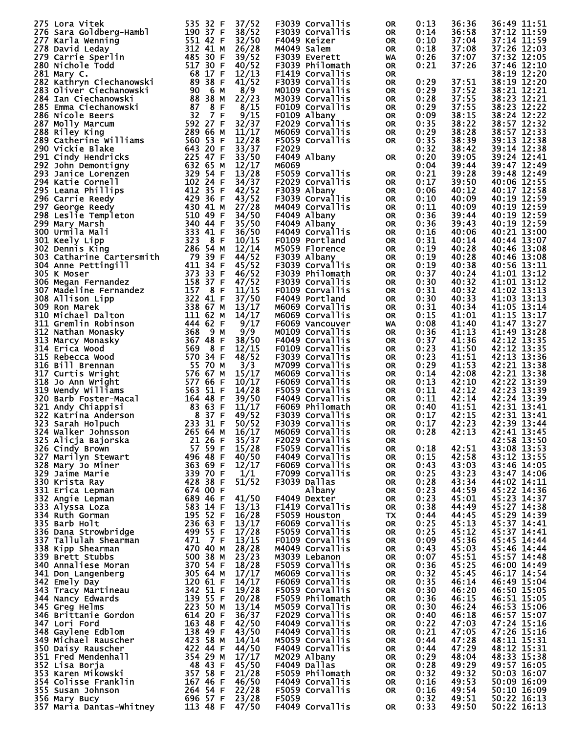| 275 Lora Vitek<br>275 Lora Vitek<br>277 Karla Goldberg-Hambl<br>277 Karla Wenning<br>277 Karla Wenning<br>277 Karla Wenning<br>278 David Leday<br>280 Nichole Todd<br>281 Aikhy C.<br>282 Kathryn Ciechanowski<br>282 Kathryn Ciechanowski<br>283 Silver Ciechanowsk | 535 32 F<br>37/52                         | F3039 Corvallis | 0R        | 0:13 | 36:36 | 36:49 11:51 |
|----------------------------------------------------------------------------------------------------------------------------------------------------------------------------------------------------------------------------------------------------------------------|-------------------------------------------|-----------------|-----------|------|-------|-------------|
|                                                                                                                                                                                                                                                                      | 38/52                                     | F3039 Corvallis | 0R        | 0:14 | 36:58 | 37:12 11:59 |
|                                                                                                                                                                                                                                                                      |                                           |                 |           |      |       |             |
|                                                                                                                                                                                                                                                                      | 32/50                                     | F4049 Keizer    | OR.       | 0:10 | 37:04 | 37:14 11:59 |
|                                                                                                                                                                                                                                                                      | 26/28                                     | M4049 Salem     | <b>OR</b> | 0:18 | 37:08 | 37:26 12:03 |
|                                                                                                                                                                                                                                                                      |                                           |                 |           |      |       |             |
|                                                                                                                                                                                                                                                                      | 39/52                                     | F3039 Everett   | <b>WA</b> | 0:26 | 37:07 | 37:32 12:05 |
|                                                                                                                                                                                                                                                                      | 40/52                                     | F3039 Philomath | 0R        | 0:21 | 37:26 | 37:46 12:10 |
|                                                                                                                                                                                                                                                                      |                                           |                 |           |      |       |             |
|                                                                                                                                                                                                                                                                      | 12/13                                     | F1419 Corvallis | <b>OR</b> |      |       | 38:19 12:20 |
|                                                                                                                                                                                                                                                                      | 41/52                                     | F3039 Corvallis | 0R        | 0:29 | 37:51 | 38:19 12:20 |
|                                                                                                                                                                                                                                                                      |                                           |                 |           |      |       |             |
|                                                                                                                                                                                                                                                                      | 8/9                                       | M0109 Corvallis | 0R        | 0:29 | 37:52 | 38:21 12:21 |
|                                                                                                                                                                                                                                                                      | 22/23                                     | M3039 Corvallis | 0R        | 0:28 | 37:55 | 38:23 12:21 |
|                                                                                                                                                                                                                                                                      |                                           |                 |           |      |       |             |
|                                                                                                                                                                                                                                                                      | 8/15                                      | F0109 Corvallis | 0R        | 0:29 | 37:55 | 38:23 12:22 |
|                                                                                                                                                                                                                                                                      | 9/15                                      | F0109 Albany    | <b>OR</b> | 0:09 | 38:15 | 38:24 12:22 |
|                                                                                                                                                                                                                                                                      |                                           |                 |           |      |       |             |
|                                                                                                                                                                                                                                                                      | 32/37                                     | F2029 Corvallis | <b>OR</b> | 0:35 | 38:22 | 38:57 12:32 |
|                                                                                                                                                                                                                                                                      | 11/17                                     | M6069 Corvallis | <b>OR</b> | 0:29 | 38:28 | 38:57 12:33 |
|                                                                                                                                                                                                                                                                      |                                           |                 |           |      |       |             |
|                                                                                                                                                                                                                                                                      | 12/28                                     | F5059 Corvallis | OR.       | 0:35 | 38:39 | 39:13 12:38 |
|                                                                                                                                                                                                                                                                      | 33/37                                     | F2029           |           | 0:32 | 38:42 | 39:14 12:38 |
|                                                                                                                                                                                                                                                                      |                                           |                 |           |      |       |             |
|                                                                                                                                                                                                                                                                      | 33/50                                     | F4049 Albany    | <b>OR</b> | 0:20 | 39:05 | 39:24 12:41 |
|                                                                                                                                                                                                                                                                      | 12/17                                     | M6069           |           | 0:04 | 39:44 | 39:47 12:49 |
|                                                                                                                                                                                                                                                                      |                                           |                 |           |      |       |             |
|                                                                                                                                                                                                                                                                      | 13/28                                     | F5059 Corvallis | OR.       | 0:21 | 39:28 | 39:48 12:49 |
|                                                                                                                                                                                                                                                                      | 34/37                                     |                 |           |      |       | 40:06 12:55 |
|                                                                                                                                                                                                                                                                      |                                           | F2029 Corvallis | <b>OR</b> | 0:17 | 39:50 |             |
|                                                                                                                                                                                                                                                                      | 42/52                                     | F3039 Albany    | OR.       | 0:06 | 40:12 | 40:17 12:58 |
|                                                                                                                                                                                                                                                                      | 43/52                                     | F3039 Corvallis | <b>OR</b> | 0:10 | 40:09 | 40:19 12:59 |
|                                                                                                                                                                                                                                                                      |                                           |                 |           |      |       |             |
|                                                                                                                                                                                                                                                                      | 27/28                                     | M4049 Corvallis | 0R        | 0:11 | 40:09 | 40:19 12:59 |
|                                                                                                                                                                                                                                                                      | 34/50                                     |                 |           | 0:36 | 39:44 | 40:19 12:59 |
|                                                                                                                                                                                                                                                                      |                                           | F4049 Albany    | <b>OR</b> |      |       |             |
|                                                                                                                                                                                                                                                                      | 35/50                                     | F4049 Albany    | OR.       | 0:36 | 39:43 | 40:19 12:59 |
|                                                                                                                                                                                                                                                                      | 36/50                                     | F4049 Corvallis |           |      |       | 40:21 13:00 |
|                                                                                                                                                                                                                                                                      |                                           |                 | <b>OR</b> | 0:16 | 40:06 |             |
|                                                                                                                                                                                                                                                                      | 10/15                                     | F0109 Portland  | OR.       | 0:31 | 40:14 | 40:44 13:07 |
|                                                                                                                                                                                                                                                                      |                                           |                 |           |      |       |             |
|                                                                                                                                                                                                                                                                      | 12/14                                     | M5059 Florence  | <b>OR</b> | 0:19 | 40:28 | 40:46 13:08 |
|                                                                                                                                                                                                                                                                      | 44/52                                     | F3039 Albany    | OR.       | 0:19 | 40:28 | 40:46 13:08 |
|                                                                                                                                                                                                                                                                      |                                           |                 |           |      |       |             |
|                                                                                                                                                                                                                                                                      | 45/52                                     | F3039 Corvallis | <b>OR</b> | 0:19 | 40:38 | 40:56 13:11 |
|                                                                                                                                                                                                                                                                      | 46/52                                     | F3039 Philomath | OR.       | 0:37 | 40:24 | 41:01 13:12 |
|                                                                                                                                                                                                                                                                      |                                           |                 |           |      |       |             |
|                                                                                                                                                                                                                                                                      | 47/52                                     | F3039 Corvallis | 0R        | 0:30 | 40:32 | 41:01 13:12 |
|                                                                                                                                                                                                                                                                      | 11/15                                     | F0109 Corvallis | 0R        | 0:31 | 40:32 | 41:02 13:13 |
|                                                                                                                                                                                                                                                                      |                                           |                 |           |      |       |             |
|                                                                                                                                                                                                                                                                      | 37/50                                     | F4049 Portland  | 0R        | 0:30 | 40:33 | 41:03 13:13 |
|                                                                                                                                                                                                                                                                      | 13/17                                     | M6069 Corvallis | 0R        | 0:31 | 40:34 | 41:05 13:14 |
|                                                                                                                                                                                                                                                                      |                                           |                 |           |      |       |             |
|                                                                                                                                                                                                                                                                      | 14/17                                     | M6069 Corvallis | <b>OR</b> | 0:15 | 41:01 | 41:15 13:17 |
|                                                                                                                                                                                                                                                                      | 9/17                                      | F6069 Vancouver | <b>WA</b> | 0:08 | 41:40 | 41:47 13:27 |
|                                                                                                                                                                                                                                                                      |                                           |                 |           |      |       |             |
|                                                                                                                                                                                                                                                                      | 9/9                                       | MO109 Corvallis | 0R        | 0:36 | 41:13 | 41:49 13:28 |
|                                                                                                                                                                                                                                                                      | 38/50                                     | F4049 Corvallis | 0R        | 0:37 | 41:36 | 42:12 13:35 |
|                                                                                                                                                                                                                                                                      |                                           |                 |           |      |       |             |
|                                                                                                                                                                                                                                                                      | 12/15                                     | F0109 Corvallis | 0R        | 0:23 | 41:50 | 42:12 13:35 |
|                                                                                                                                                                                                                                                                      | 48/52                                     | F3039 Corvallis | <b>OR</b> | 0:23 | 41:51 | 42:13 13:36 |
|                                                                                                                                                                                                                                                                      |                                           |                 |           |      |       |             |
|                                                                                                                                                                                                                                                                      | 3/3                                       | M7099 Corvallis | 0R        | 0:29 | 41:53 | 42:21 13:38 |
|                                                                                                                                                                                                                                                                      | 15/17                                     | M6069 Corvallis | 0R        | 0:14 | 42:08 | 42:21 13:38 |
|                                                                                                                                                                                                                                                                      |                                           |                 |           |      |       |             |
|                                                                                                                                                                                                                                                                      | 10/17                                     | F6069 Corvallis | 0R        | 0:13 | 42:10 | 42:22 13:39 |
|                                                                                                                                                                                                                                                                      | 14/28                                     | F5059 Corvallis | 0R        | 0:11 | 42:12 | 42:23 13:39 |
|                                                                                                                                                                                                                                                                      |                                           |                 |           |      |       |             |
|                                                                                                                                                                                                                                                                      | 39/50                                     | F4049 Corvallis | 0R        | 0:11 | 42:14 | 42:24 13:39 |
|                                                                                                                                                                                                                                                                      | 11/17                                     | F6069 Philomath | 0R        | 0:40 | 41:51 | 42:31 13:41 |
|                                                                                                                                                                                                                                                                      |                                           |                 |           |      |       |             |
|                                                                                                                                                                                                                                                                      | 49/52                                     | F3039 Corvallis | <b>OR</b> | 0:17 | 42:15 | 42:31 13:41 |
|                                                                                                                                                                                                                                                                      | 50/52                                     | F3039 Corvallis | <b>OR</b> | 0:17 | 42:23 | 42:39 13:44 |
|                                                                                                                                                                                                                                                                      |                                           |                 |           |      |       |             |
| 324 Walker Johnsson                                                                                                                                                                                                                                                  | 265 64 M<br>16/17                         | M6069 Corvallis | OR        | 0:28 | 42:13 | 42:41 13:45 |
| 325 Alicja Bajorska                                                                                                                                                                                                                                                  | 35/37<br>21 26 F                          | F2029 Corvallis | OR.       |      |       | 42:58 13:50 |
|                                                                                                                                                                                                                                                                      |                                           |                 |           |      |       |             |
| 326 Cindy Brown                                                                                                                                                                                                                                                      | 57 59 F<br>15/28                          | F5059 Corvallis | 0R        | 0:18 | 42:51 | 43:08 13:53 |
| 327 Marilyn Stewart                                                                                                                                                                                                                                                  | 496 48 F<br>40/50                         | F4049 Corvallis | 0R        | 0:15 | 42:58 | 43:12 13:55 |
|                                                                                                                                                                                                                                                                      |                                           |                 |           |      |       |             |
| 328 Mary Jo Miner                                                                                                                                                                                                                                                    | 363 69 F<br>12/17                         | F6069 Corvallis | 0R        | 0:43 | 43:03 | 43:46 14:05 |
| 329 Jaime Marie                                                                                                                                                                                                                                                      | 339 70 F<br>1/1                           | F7099 Corvallis | <b>OR</b> | 0:25 | 43:23 | 43:47 14:06 |
|                                                                                                                                                                                                                                                                      |                                           |                 |           |      |       |             |
| 330 Krista Ray                                                                                                                                                                                                                                                       | 428 38 F<br>51/52                         | F3039 Dallas    | 0R        | 0:28 | 43:34 | 44:02 14:11 |
| 331 Erica Lepman                                                                                                                                                                                                                                                     | 674 OO F                                  | Albany          | <b>OR</b> | 0:23 | 44:59 | 45:22 14:36 |
|                                                                                                                                                                                                                                                                      |                                           |                 |           |      |       |             |
| 332 Angie Lepman                                                                                                                                                                                                                                                     | 689 46 F<br>41/50                         | F4049 Dexter    | 0R        | 0:23 | 45:01 | 45:23 14:37 |
| 333 Alyssa Loza                                                                                                                                                                                                                                                      | 583 14 F<br>13/13                         | F1419 Corvallis | <b>OR</b> | 0:38 | 44:49 | 45:27 14:38 |
|                                                                                                                                                                                                                                                                      | 195 52 F<br>16/28                         | F5059 Houston   |           |      |       |             |
| 334 Ruth Gorman                                                                                                                                                                                                                                                      |                                           |                 | TX        | 0:44 | 44:45 | 45:29 14:39 |
| 335 Barb Holt                                                                                                                                                                                                                                                        | 23665F<br>13/17                           | F6069 Corvallis | 0R        | 0:25 | 45:13 | 45:37 14:41 |
| 336 Dana Strowbridge                                                                                                                                                                                                                                                 | 499 55 F<br>17/28                         | F5059 Corvallis |           |      |       |             |
|                                                                                                                                                                                                                                                                      |                                           |                 | 0R        | 0:25 | 45:12 | 45:37 14:41 |
| 337 Tallulah Shearman                                                                                                                                                                                                                                                | 471 7 F<br>13/15                          | F0109 Corvallis | 0R        | 0:09 | 45:36 | 45:45 14:44 |
|                                                                                                                                                                                                                                                                      | 470 40 M<br>28/28                         | M4049 Corvallis |           |      |       |             |
| 338 Kipp Shearman                                                                                                                                                                                                                                                    |                                           |                 | 0R        | 0:43 | 45:03 | 45:46 14:44 |
| 339 Brett Stubbs                                                                                                                                                                                                                                                     | 500 38 M<br>23/23                         | M3039 Lebanon   | <b>OR</b> | 0:07 | 45:51 | 45:57 14:48 |
|                                                                                                                                                                                                                                                                      | 370 54 F<br>305 64 M<br>120 24 M<br>18/28 |                 |           |      |       |             |
| 340 Annaliese Moran                                                                                                                                                                                                                                                  |                                           | F5059 Corvallis | 0R        | 0:36 | 45:25 | 46:00 14:49 |
| 341 Don Langenberg                                                                                                                                                                                                                                                   | 17/17                                     | M6069 Corvallis | <b>OR</b> | 0:32 | 45:45 | 46:17 14:54 |
|                                                                                                                                                                                                                                                                      | 120 61 F<br>14/17                         |                 |           |      |       |             |
| 342 Emely Day                                                                                                                                                                                                                                                        |                                           | F6069 Corvallis | 0R        | 0:35 | 46:14 | 46:49 15:04 |
| 343 Tracy Martineau                                                                                                                                                                                                                                                  | 342 51 F<br>19/28                         | F5059 Corvallis | <b>OR</b> | 0:30 | 46:20 | 46:50 15:05 |
|                                                                                                                                                                                                                                                                      | 139 55 F<br>20/28                         | F5059 Philomath |           | 0:36 | 46:15 | 46:51 15:05 |
| 344 Nancy Edwards                                                                                                                                                                                                                                                    |                                           |                 | 0R        |      |       |             |
| 345 Greg Helms                                                                                                                                                                                                                                                       | $223,50$ M<br>13/14                       | M5059 Corvallis | <b>OR</b> | 0:30 | 46:24 | 46:53 15:06 |
|                                                                                                                                                                                                                                                                      | 614 20 F<br>36/37                         |                 |           |      |       |             |
| 346 Brittanie Gordon                                                                                                                                                                                                                                                 |                                           | F2029 Corvallis | 0R        | 0:40 | 46:18 | 46:57 15:07 |
| 347 Lori Ford                                                                                                                                                                                                                                                        | 163 48 F<br>42/50                         | F4049 Corvallis | <b>OR</b> | 0:22 | 47:03 | 47:24 15:16 |
|                                                                                                                                                                                                                                                                      | 138 49 F<br>43/50                         |                 |           |      |       |             |
| 348 Gaylene Edblom                                                                                                                                                                                                                                                   |                                           | F4049 Corvallis | 0R        | 0:21 | 47:05 | 47:26 15:16 |
| 349 Michael Rauscher                                                                                                                                                                                                                                                 | 423 58 M<br>14/14                         | M5059 Corvallis | <b>OR</b> | 0:44 | 47:28 | 48:11 15:31 |
|                                                                                                                                                                                                                                                                      |                                           |                 |           |      |       |             |
| 350 Daisy Rauscher                                                                                                                                                                                                                                                   | 422 44 F<br>44/50                         | F4049 Corvallis | 0R        | 0:44 | 47:29 | 48:12 15:31 |
| 351 Fred Mendenhall                                                                                                                                                                                                                                                  | 354 29 M<br>17/17                         | M2029 Albany    | <b>OR</b> | 0:29 | 48:04 | 48:33 15:38 |
|                                                                                                                                                                                                                                                                      |                                           |                 |           |      |       |             |
| 352 Lisa Borja                                                                                                                                                                                                                                                       | 48 43 F<br>45/50                          | F4049 Dallas    | 0R        | 0:28 | 49:29 | 49:57 16:05 |
| 353 Karen Mikowski                                                                                                                                                                                                                                                   | 357 58 F<br>21/28                         | F5059 Philomath | 0R        | 0:32 | 49:32 | 50:03 16:07 |
|                                                                                                                                                                                                                                                                      |                                           |                 |           |      |       |             |
| 354 Colisse Franklin                                                                                                                                                                                                                                                 | 167 46 F<br>46/50                         | F4049 Corvallis | 0R        | 0:16 | 49:53 | 50:09 16:09 |
| 355 Susan Johnson                                                                                                                                                                                                                                                    | 264 54 F<br>22/28                         | F5059 Corvallis | 0R        | 0:16 | 49:54 | 50:10 16:09 |
|                                                                                                                                                                                                                                                                      |                                           |                 |           |      |       |             |
| 356 Mary Bucy                                                                                                                                                                                                                                                        | 696 57 F<br>23/28                         | F5059           |           | 0:32 | 49:51 | 50:22 16:13 |
| 357 Maria Dantas-Whitney                                                                                                                                                                                                                                             | 113 48 F<br>47/50                         | F4049 Corvallis | 0R        | 0:33 | 49:50 | 50:22 16:13 |
|                                                                                                                                                                                                                                                                      |                                           |                 |           |      |       |             |